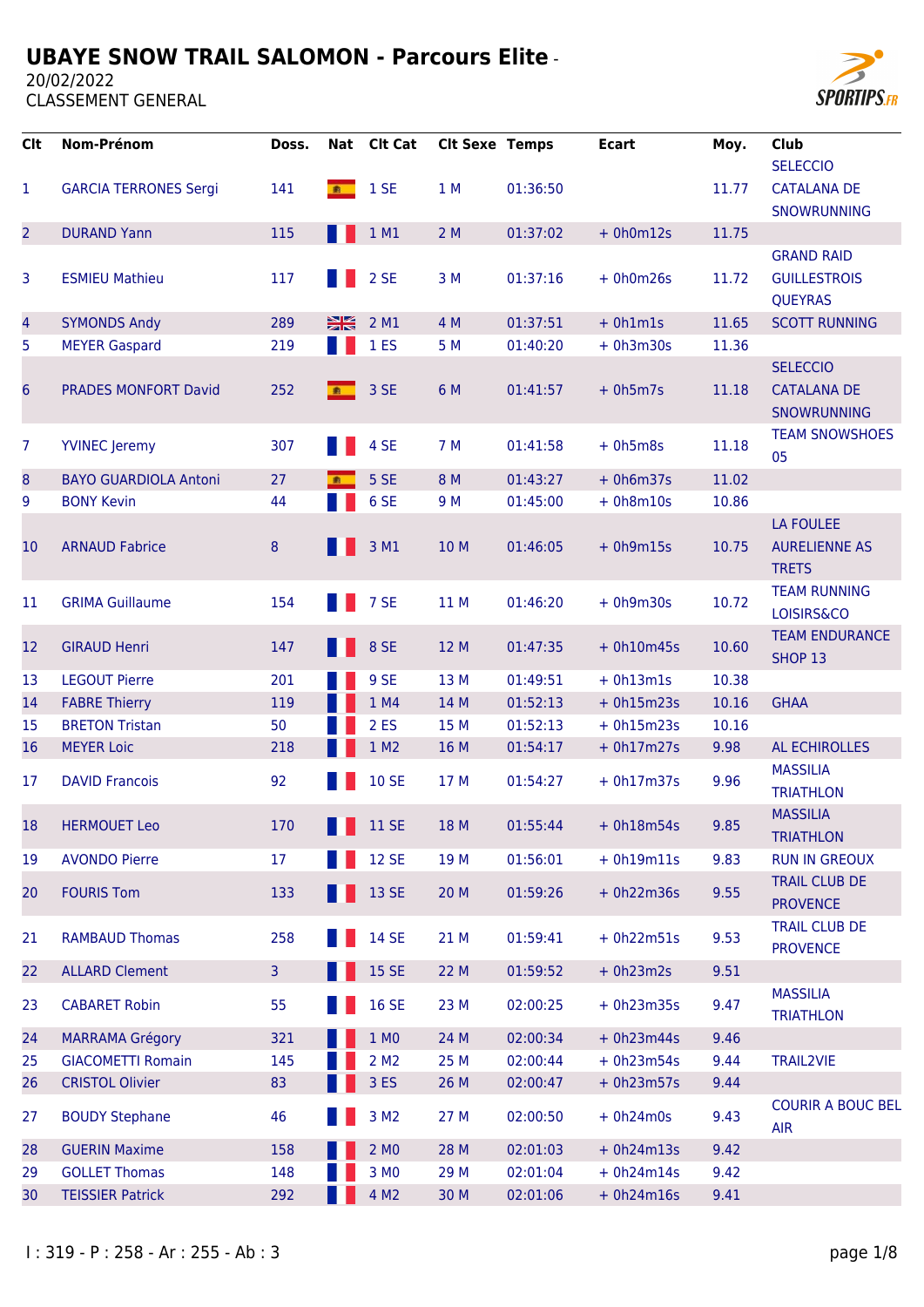20/02/2022



| <b>Clt</b>               | Nom-Prénom                   | Doss.        |                | Nat Clt Cat      | <b>Clt Sexe Temps</b> |          | <b>Ecart</b> | Moy.  | <b>Club</b><br><b>SELECCIO</b>                       |
|--------------------------|------------------------------|--------------|----------------|------------------|-----------------------|----------|--------------|-------|------------------------------------------------------|
| 1                        | <b>GARCIA TERRONES Sergi</b> | 141          | 素              | 1 SE             | 1 M                   | 01:36:50 |              | 11.77 | <b>CATALANA DE</b><br>SNOWRUNNING                    |
| $\overline{2}$           | <b>DURAND Yann</b>           | 115          |                | 1 M1             | 2M                    | 01:37:02 | $+ 0h0m12s$  | 11.75 |                                                      |
|                          |                              |              |                |                  |                       |          |              |       | <b>GRAND RAID</b>                                    |
| 3                        | <b>ESMIEU Mathieu</b>        | 117          |                | 2 SE             | 3 M                   | 01:37:16 | $+ 0h0m26s$  | 11.72 | <b>GUILLESTROIS</b><br><b>QUEYRAS</b>                |
| $\overline{\mathcal{A}}$ | <b>SYMONDS Andy</b>          | 289          | $\frac{N}{N}$  | 2 M1             | 4 M                   | 01:37:51 | $+ 0h1m1s$   | 11.65 | <b>SCOTT RUNNING</b>                                 |
| 5                        | <b>MEYER Gaspard</b>         | 219          |                | 1 <sub>ES</sub>  | 5 M                   | 01:40:20 | $+ 0h3m30s$  | 11.36 |                                                      |
| 6                        | <b>PRADES MONFORT David</b>  | 252          | 素              | 3 SE             | 6 M                   | 01:41:57 | $+ 0h5m7s$   | 11.18 | <b>SELECCIO</b><br><b>CATALANA DE</b><br>SNOWRUNNING |
| 7                        | <b>YVINEC</b> Jeremy         | 307          |                | 4 SE             | 7 M                   | 01:41:58 | $+ 0h5m8s$   | 11.18 | <b>TEAM SNOWSHOES</b><br>05                          |
| 8                        | <b>BAYO GUARDIOLA Antoni</b> | 27           | $\blacksquare$ | 5 SE             | 8 M                   | 01:43:27 | $+ 0h6m37s$  | 11.02 |                                                      |
| 9                        | <b>BONY Kevin</b>            | 44           |                | 6 SE             | 9 M                   | 01:45:00 | $+ 0h8m10s$  | 10.86 |                                                      |
| 10                       | <b>ARNAUD Fabrice</b>        | 8            |                | 3 M1             | 10 M                  | 01:46:05 | $+ 0h9m15s$  | 10.75 | LA FOULEE<br><b>AURELIENNE AS</b><br><b>TRETS</b>    |
| 11                       | <b>GRIMA Guillaume</b>       | 154          |                | 7 SE             | 11 M                  | 01:46:20 | $+ 0h9m30s$  | 10.72 | <b>TEAM RUNNING</b><br>LOISIRS&CO                    |
| 12                       | <b>GIRAUD Henri</b>          | 147          |                | 8 SE             | 12 M                  | 01:47:35 | $+ 0h10m45s$ | 10.60 | <b>TEAM ENDURANCE</b><br>SHOP 13                     |
| 13                       | <b>LEGOUT Pierre</b>         | 201          |                | 9 SE             | 13 M                  | 01:49:51 | $+ 0h13m1s$  | 10.38 |                                                      |
| 14                       | <b>FABRE Thierry</b>         | 119          |                | 1 M4             | 14 M                  | 01:52:13 | $+ 0h15m23s$ | 10.16 | <b>GHAA</b>                                          |
| 15                       | <b>BRETON Tristan</b>        | 50           |                | 2 ES             | 15 M                  | 01:52:13 | $+ 0h15m23s$ | 10.16 |                                                      |
| 16                       | <b>MEYER Loic</b>            | 218          |                | 1 M2             | 16 M                  | 01:54:17 | $+ 0h17m27s$ | 9.98  | <b>AL ECHIROLLES</b>                                 |
| 17                       | <b>DAVID Francois</b>        | 92           |                | <b>10 SE</b>     | 17 M                  | 01:54:27 | $+ 0h17m37s$ | 9.96  | <b>MASSILIA</b><br><b>TRIATHLON</b>                  |
| 18                       | <b>HERMOUET Leo</b>          | 170          |                | <b>11 SE</b>     | 18 M                  | 01:55:44 | $+ 0h18m54s$ | 9.85  | <b>MASSILIA</b><br><b>TRIATHLON</b>                  |
| 19                       | <b>AVONDO Pierre</b>         | 17           |                | <b>12 SE</b>     | 19 M                  | 01:56:01 | $+ 0h19m11s$ | 9.83  | <b>RUN IN GREOUX</b>                                 |
| 20                       | <b>FOURIS Tom</b>            | 133          |                | 13 SE            | 20 M                  | 01:59:26 | $+ 0h22m36s$ | 9.55  | <b>TRAIL CLUB DE</b><br><b>PROVENCE</b>              |
| 21                       | <b>RAMBAUD Thomas</b>        | 258          |                | 14 SE            | 21 M                  | 01:59:41 | $+ 0h22m51s$ | 9.53  | <b>TRAIL CLUB DE</b><br><b>PROVENCE</b>              |
| 22                       | <b>ALLARD Clement</b>        | $\mathbf{3}$ |                | 15 SE            | 22 M                  | 01:59:52 | $+ 0h23m2s$  | 9.51  |                                                      |
| 23                       | <b>CABARET Robin</b>         | 55           |                | <b>16 SE</b>     | 23 M                  | 02:00:25 | $+ 0h23m35s$ | 9.47  | <b>MASSILIA</b><br><b>TRIATHLON</b>                  |
| 24                       | <b>MARRAMA Grégory</b>       | 321          |                | 1 MO             | 24 M                  | 02:00:34 | $+ 0h23m44s$ | 9.46  |                                                      |
| 25                       | <b>GIACOMETTI Romain</b>     | 145          |                | 2 M <sub>2</sub> | 25 M                  | 02:00:44 | $+ 0h23m54s$ | 9.44  | <b>TRAIL2VIE</b>                                     |
| 26                       | <b>CRISTOL Olivier</b>       | 83           |                | 3 ES             | 26 M                  | 02:00:47 | $+ 0h23m57s$ | 9.44  |                                                      |
| 27                       | <b>BOUDY Stephane</b>        | 46           |                | 3 M <sub>2</sub> | 27 M                  | 02:00:50 | $+ 0h24m0s$  | 9.43  | <b>COURIR A BOUC BEL</b><br><b>AIR</b>               |
| 28                       | <b>GUERIN Maxime</b>         | 158          |                | 2 MO             | 28 M                  | 02:01:03 | $+ 0h24m13s$ | 9.42  |                                                      |
| 29                       | <b>GOLLET Thomas</b>         | 148          |                | 3 MO             | 29 M                  | 02:01:04 | $+ 0h24m14s$ | 9.42  |                                                      |
| 30                       | <b>TEISSIER Patrick</b>      | 292          |                | 4 M <sub>2</sub> | 30 M                  | 02:01:06 | $+ 0h24m16s$ | 9.41  |                                                      |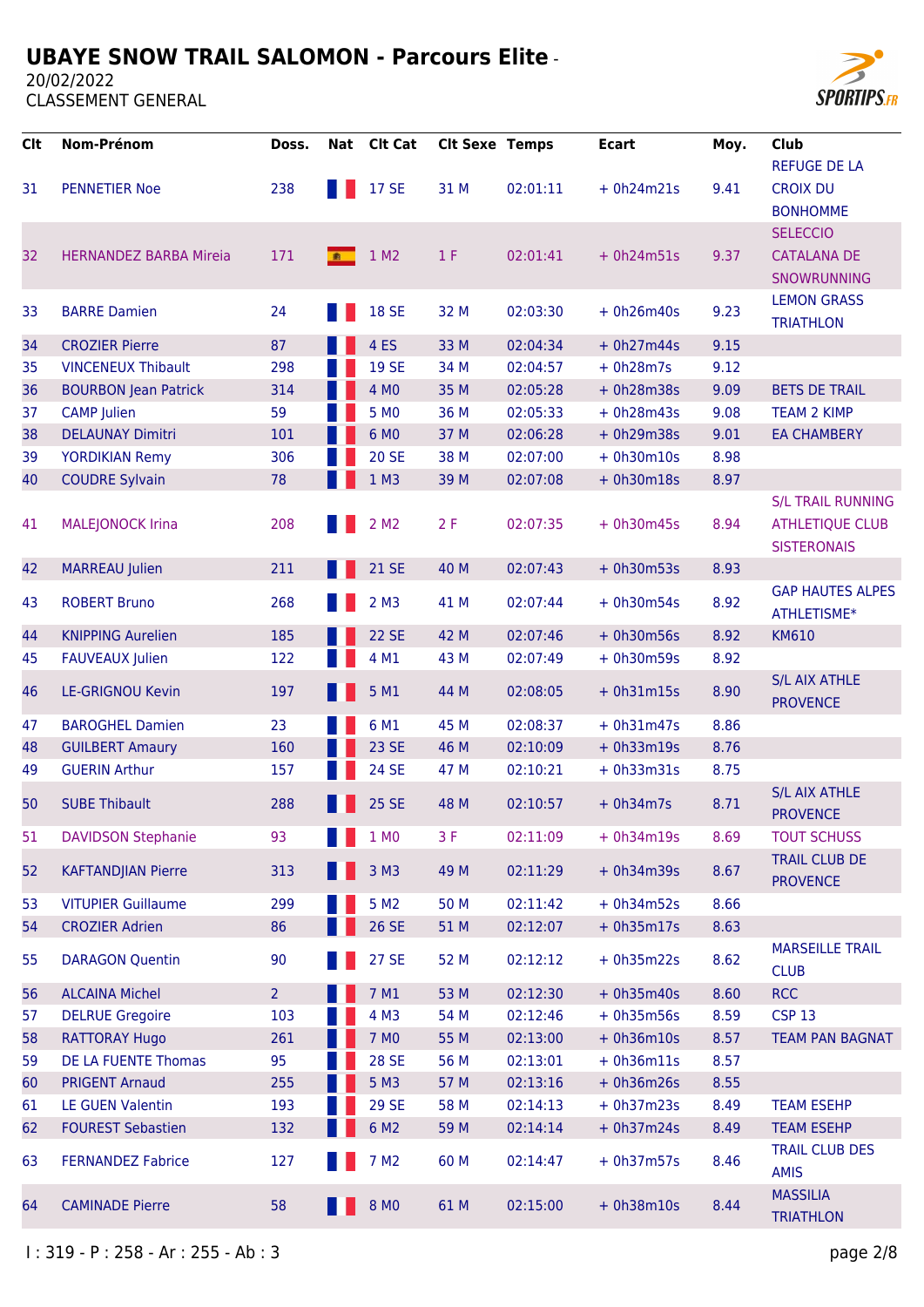20/02/2022



| <b>Clt</b> | Nom-Prénom                    | Doss.          | Nat | <b>Clt Cat</b>     | <b>Clt Sexe Temps</b> |          | <b>Ecart</b> | Moy. | Club<br><b>REFUGE DE LA</b>                                              |
|------------|-------------------------------|----------------|-----|--------------------|-----------------------|----------|--------------|------|--------------------------------------------------------------------------|
| 31         | <b>PENNETIER Noe</b>          | 238            |     | <b>17 SE</b>       | 31 M                  | 02:01:11 | $+ 0h24m21s$ | 9.41 | <b>CROIX DU</b><br><b>BONHOMME</b>                                       |
|            |                               |                |     |                    |                       |          |              |      | <b>SELECCIO</b>                                                          |
| 32         | <b>HERNANDEZ BARBA Mireia</b> | 171            | ■   | 1 M <sub>2</sub>   | 1 F                   | 02:01:41 | $+ 0h24m51s$ | 9.37 | <b>CATALANA DE</b><br>SNOWRUNNING                                        |
| 33         | <b>BARRE Damien</b>           | 24             |     | <b>18 SE</b>       | 32 M                  | 02:03:30 | $+ 0h26m40s$ | 9.23 | <b>LEMON GRASS</b><br><b>TRIATHLON</b>                                   |
| 34         | <b>CROZIER Pierre</b>         | 87             |     | 4 <sub>ES</sub>    | 33 M                  | 02:04:34 | $+ 0h27m44s$ | 9.15 |                                                                          |
| 35         | <b>VINCENEUX Thibault</b>     | 298            |     | <b>19 SE</b>       | 34 M                  | 02:04:57 | $+ 0h28m7s$  | 9.12 |                                                                          |
| 36         | <b>BOURBON Jean Patrick</b>   | 314            |     | 4 MO               | 35 M                  | 02:05:28 | $+ 0h28m38s$ | 9.09 | <b>BETS DE TRAIL</b>                                                     |
| 37         | <b>CAMP</b> Julien            | 59             |     | 5 MO               | 36 M                  | 02:05:33 | $+ 0h28m43s$ | 9.08 | <b>TEAM 2 KIMP</b>                                                       |
| 38         | <b>DELAUNAY Dimitri</b>       | 101            |     | 6 MO               | 37 M                  | 02:06:28 | $+ 0h29m38s$ | 9.01 | <b>EA CHAMBERY</b>                                                       |
| 39         | <b>YORDIKIAN Remy</b>         | 306            |     | <b>20 SE</b>       | 38 M                  | 02:07:00 | $+ 0h30m10s$ | 8.98 |                                                                          |
| 40         | <b>COUDRE Sylvain</b>         | 78             |     | $1$ M3             | 39 M                  | 02:07:08 | $+ 0h30m18s$ | 8.97 |                                                                          |
| 41         | <b>MALEJONOCK Irina</b>       | 208            |     | 2 M <sub>2</sub>   | 2F                    | 02:07:35 | $+ 0h30m45s$ | 8.94 | <b>S/L TRAIL RUNNING</b><br><b>ATHLETIQUE CLUB</b><br><b>SISTERONAIS</b> |
| 42         | <b>MARREAU Julien</b>         | 211            |     | <b>21 SE</b>       | 40 M                  | 02:07:43 | $+ 0h30m53s$ | 8.93 |                                                                          |
| 43         | <b>ROBERT Bruno</b>           | 268            |     | $2$ M <sub>3</sub> | 41 M                  | 02:07:44 | $+ 0h30m54s$ | 8.92 | <b>GAP HAUTES ALPES</b><br>ATHLETISME*                                   |
| 44         | <b>KNIPPING Aurelien</b>      | 185            |     | <b>22 SE</b>       | 42 M                  | 02:07:46 | $+ 0h30m56s$ | 8.92 | <b>KM610</b>                                                             |
| 45         | <b>FAUVEAUX Julien</b>        | 122            |     | 4 M1               | 43 M                  | 02:07:49 | $+ 0h30m59s$ | 8.92 |                                                                          |
| 46         | <b>LE-GRIGNOU Kevin</b>       | 197            |     | 5 M1               | 44 M                  | 02:08:05 | $+ 0h31m15s$ | 8.90 | <b>S/L AIX ATHLE</b><br><b>PROVENCE</b>                                  |
| 47         | <b>BAROGHEL Damien</b>        | 23             |     | 6 M1               | 45 M                  | 02:08:37 | $+ 0h31m47s$ | 8.86 |                                                                          |
| 48         | <b>GUILBERT Amaury</b>        | 160            |     | 23 SE              | 46 M                  | 02:10:09 | $+ 0h33m19s$ | 8.76 |                                                                          |
| 49         | <b>GUERIN Arthur</b>          | 157            |     | 24 SE              | 47 M                  | 02:10:21 | $+ 0h33m31s$ | 8.75 |                                                                          |
| 50         | <b>SUBE Thibault</b>          | 288            |     | 25 SE              | 48 M                  | 02:10:57 | $+ 0h34m7s$  | 8.71 | <b>S/L AIX ATHLE</b><br><b>PROVENCE</b>                                  |
| 51         | <b>DAVIDSON Stephanie</b>     | 93             |     | 1 MO               | 3F                    | 02:11:09 | $+ 0h34m19s$ | 8.69 | <b>TOUT SCHUSS</b>                                                       |
| 52         | <b>KAFTANDJIAN Pierre</b>     | 313            |     | 3 M3               | 49 M                  | 02:11:29 | $+ 0h34m39s$ | 8.67 | <b>TRAIL CLUB DE</b><br><b>PROVENCE</b>                                  |
| 53         | <b>VITUPIER Guillaume</b>     | 299            |     | 5 M <sub>2</sub>   | 50 M                  | 02:11:42 | $+ 0h34m52s$ | 8.66 |                                                                          |
| 54         | <b>CROZIER Adrien</b>         | 86             |     | 26 SE              | 51 M                  | 02:12:07 | $+ 0h35m17s$ | 8.63 |                                                                          |
| 55         | <b>DARAGON Quentin</b>        | 90             |     | 27 SE              | 52 M                  | 02:12:12 | $+ 0h35m22s$ | 8.62 | <b>MARSEILLE TRAIL</b><br><b>CLUB</b>                                    |
| 56         | <b>ALCAINA Michel</b>         | 2 <sup>1</sup> |     | 7 M1               | 53 M                  | 02:12:30 | $+ 0h35m40s$ | 8.60 | <b>RCC</b>                                                               |
| 57         | <b>DELRUE Gregoire</b>        | 103            |     | 4 M3               | 54 M                  | 02:12:46 | $+ 0h35m56s$ | 8.59 | <b>CSP 13</b>                                                            |
| 58         | <b>RATTORAY Hugo</b>          | 261            |     | 7 MO               | 55 M                  | 02:13:00 | $+ 0h36m10s$ | 8.57 | <b>TEAM PAN BAGNAT</b>                                                   |
| 59         | DE LA FUENTE Thomas           | 95             |     | <b>28 SE</b>       | 56 M                  | 02:13:01 | $+ 0h36m11s$ | 8.57 |                                                                          |
| 60         | <b>PRIGENT Arnaud</b>         | 255            |     | 5 M3               | 57 M                  | 02:13:16 | $+ 0h36m26s$ | 8.55 |                                                                          |
| 61         | <b>LE GUEN Valentin</b>       | 193            |     | <b>29 SE</b>       | 58 M                  | 02:14:13 | $+ 0h37m23s$ | 8.49 | <b>TEAM ESEHP</b>                                                        |
| 62         | <b>FOUREST Sebastien</b>      | 132            |     | 6 M <sub>2</sub>   | 59 M                  | 02:14:14 | $+ 0h37m24s$ | 8.49 | <b>TEAM ESEHP</b>                                                        |
| 63         | <b>FERNANDEZ Fabrice</b>      | 127            |     | 7 M <sub>2</sub>   | 60 M                  | 02:14:47 | $+ 0h37m57s$ | 8.46 | <b>TRAIL CLUB DES</b><br><b>AMIS</b>                                     |
| 64         | <b>CAMINADE Pierre</b>        | 58             |     | 8 MO               | 61 M                  | 02:15:00 | $+ 0h38m10s$ | 8.44 | <b>MASSILIA</b><br><b>TRIATHLON</b>                                      |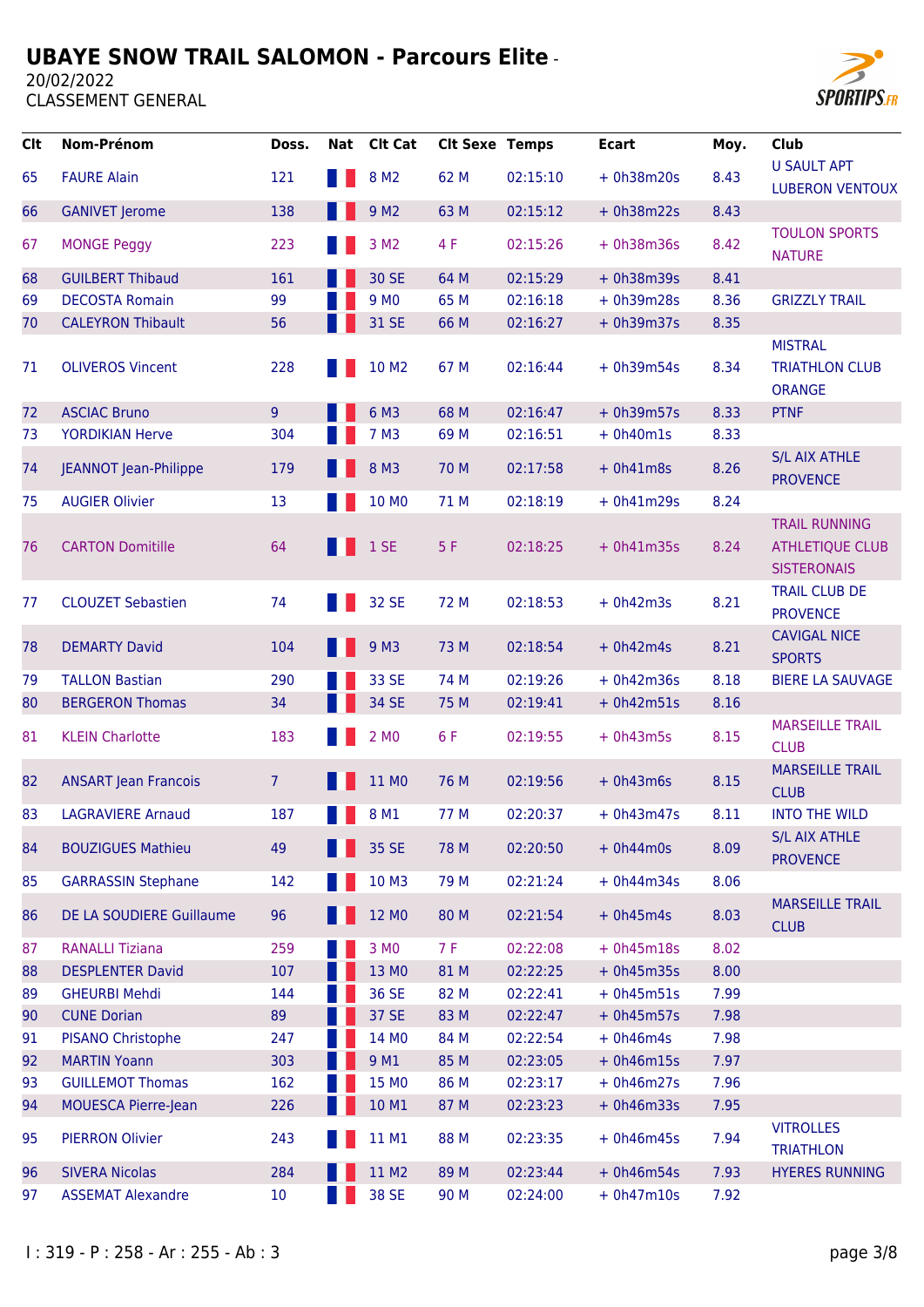

| <b>Clt</b> | Nom-Prénom                   | Doss.           | <b>Nat</b> | <b>Clt Cat</b>    | <b>Clt Sexe Temps</b> |          | <b>Ecart</b> | Moy. | Club                                                                 |
|------------|------------------------------|-----------------|------------|-------------------|-----------------------|----------|--------------|------|----------------------------------------------------------------------|
| 65         | <b>FAURE Alain</b>           | 121             |            | 8 M <sub>2</sub>  | 62 M                  | 02:15:10 | $+ 0h38m20s$ | 8.43 | <b>U SAULT APT</b><br><b>LUBERON VENTOUX</b>                         |
| 66         | <b>GANIVET Jerome</b>        | 138             |            | 9 M <sub>2</sub>  | 63 M                  | 02:15:12 | $+ 0h38m22s$ | 8.43 |                                                                      |
| 67         | <b>MONGE Peggy</b>           | 223             |            | 3 M <sub>2</sub>  | 4 F                   | 02:15:26 | $+ 0h38m36s$ | 8.42 | <b>TOULON SPORTS</b><br><b>NATURE</b>                                |
| 68         | <b>GUILBERT Thibaud</b>      | 161             |            | 30 SE             | 64 M                  | 02:15:29 | $+ 0h38m39s$ | 8.41 |                                                                      |
| 69         | <b>DECOSTA Romain</b>        | 99              |            | 9 M <sub>0</sub>  | 65 M                  | 02:16:18 | $+ 0h39m28s$ | 8.36 | <b>GRIZZLY TRAIL</b>                                                 |
| 70         | <b>CALEYRON Thibault</b>     | 56              |            | 31 SE             | 66 M                  | 02:16:27 | $+ 0h39m37s$ | 8.35 |                                                                      |
| 71         | <b>OLIVEROS Vincent</b>      | 228             |            | 10 M <sub>2</sub> | 67 M                  | 02:16:44 | $+ 0h39m54s$ | 8.34 | <b>MISTRAL</b><br><b>TRIATHLON CLUB</b><br><b>ORANGE</b>             |
| 72         | <b>ASCIAC Bruno</b>          | 9               |            | 6 M3              | 68 M                  | 02:16:47 | $+ 0h39m57s$ | 8.33 | <b>PTNF</b>                                                          |
| 73         | <b>YORDIKIAN Herve</b>       | 304             |            | 7 M3              | 69 M                  | 02:16:51 | $+ 0h40m1s$  | 8.33 |                                                                      |
| 74         | <b>JEANNOT Jean-Philippe</b> | 179             |            | 8 M3              | 70 M                  | 02:17:58 | $+ 0h41m8s$  | 8.26 | <b>S/L AIX ATHLE</b><br><b>PROVENCE</b>                              |
| 75         | <b>AUGIER Olivier</b>        | 13              |            | 10 MO             | 71 M                  | 02:18:19 | $+ 0h41m29s$ | 8.24 |                                                                      |
| 76         | <b>CARTON Domitille</b>      | 64              |            | 1SE               | 5F                    | 02:18:25 | $+ 0h41m35s$ | 8.24 | <b>TRAIL RUNNING</b><br><b>ATHLETIQUE CLUB</b><br><b>SISTERONAIS</b> |
| 77         | <b>CLOUZET Sebastien</b>     | 74              |            | 32 SE             | 72 M                  | 02:18:53 | $+ 0h42m3s$  | 8.21 | <b>TRAIL CLUB DE</b><br><b>PROVENCE</b>                              |
| 78         | <b>DEMARTY David</b>         | 104             |            | 9 M <sub>3</sub>  | 73 M                  | 02:18:54 | $+ 0h42m4s$  | 8.21 | <b>CAVIGAL NICE</b><br><b>SPORTS</b>                                 |
| 79         | <b>TALLON Bastian</b>        | 290             |            | 33 SE             | 74 M                  | 02:19:26 | $+ 0h42m36s$ | 8.18 | <b>BIERE LA SAUVAGE</b>                                              |
| 80         | <b>BERGERON Thomas</b>       | 34              |            | 34 SE             | 75 M                  | 02:19:41 | $+ 0h42m51s$ | 8.16 |                                                                      |
| 81         | <b>KLEIN Charlotte</b>       | 183             |            | 2 MO              | 6 F                   | 02:19:55 | $+ 0h43m5s$  | 8.15 | <b>MARSEILLE TRAIL</b><br><b>CLUB</b>                                |
| 82         | <b>ANSART Jean Francois</b>  | $\overline{7}$  |            | 11 MO             | 76 M                  | 02:19:56 | $+ 0h43m6s$  | 8.15 | <b>MARSEILLE TRAIL</b><br><b>CLUB</b>                                |
| 83         | <b>LAGRAVIERE Arnaud</b>     | 187             |            | 8 M1              | 77 M                  | 02:20:37 | $+ 0h43m47s$ | 8.11 | <b>INTO THE WILD</b>                                                 |
| 84         | <b>BOUZIGUES Mathieu</b>     | 49              |            | 35 SE             | 78 M                  | 02:20:50 | $+ 0h44m0s$  | 8.09 | S/L AIX ATHLE<br><b>PROVENCE</b>                                     |
| 85         | <b>GARRASSIN Stephane</b>    | 142             |            | 10 M3             | 79 M                  | 02:21:24 | $+ 0h44m34s$ | 8.06 |                                                                      |
| 86         | DE LA SOUDIERE Guillaume     | 96              |            | 12 MO             | 80 M                  | 02:21:54 | $+ 0h45m4s$  | 8.03 | <b>MARSEILLE TRAIL</b><br><b>CLUB</b>                                |
| 87         | <b>RANALLI Tiziana</b>       | 259             |            | 3 MO              | 7 F                   | 02:22:08 | $+ 0h45m18s$ | 8.02 |                                                                      |
| 88         | <b>DESPLENTER David</b>      | 107             |            | 13 MO             | 81 M                  | 02:22:25 | $+ 0h45m35s$ | 8.00 |                                                                      |
| 89         | <b>GHEURBI Mehdi</b>         | 144             |            | 36 SE             | 82 M                  | 02:22:41 | $+ 0h45m51s$ | 7.99 |                                                                      |
| 90         | <b>CUNE Dorian</b>           | 89              |            | 37 SE             | 83 M                  | 02:22:47 | $+ 0h45m57s$ | 7.98 |                                                                      |
| 91         | PISANO Christophe            | 247             |            | 14 MO             | 84 M                  | 02:22:54 | $+ 0h46m4s$  | 7.98 |                                                                      |
| 92         | <b>MARTIN Yoann</b>          | 303             |            | 9 M1              | 85 M                  | 02:23:05 | $+ 0h46m15s$ | 7.97 |                                                                      |
| 93         | <b>GUILLEMOT Thomas</b>      | 162             |            | 15 MO             | 86 M                  | 02:23:17 | $+ 0h46m27s$ | 7.96 |                                                                      |
| 94         | <b>MOUESCA Pierre-Jean</b>   | 226             |            | 10 M1             | 87 M                  | 02:23:23 | $+ 0h46m33s$ | 7.95 |                                                                      |
| 95         | <b>PIERRON Olivier</b>       | 243             |            | 11 M1             | 88 M                  | 02:23:35 | $+ 0h46m45s$ | 7.94 | <b>VITROLLES</b><br><b>TRIATHLON</b>                                 |
| 96         | <b>SIVERA Nicolas</b>        | 284             |            | 11 M2             | 89 M                  | 02:23:44 | $+ 0h46m54s$ | 7.93 | <b>HYERES RUNNING</b>                                                |
| 97         | <b>ASSEMAT Alexandre</b>     | 10 <sup>°</sup> |            | 38 SE             | 90 M                  | 02:24:00 | $+ 0h47m10s$ | 7.92 |                                                                      |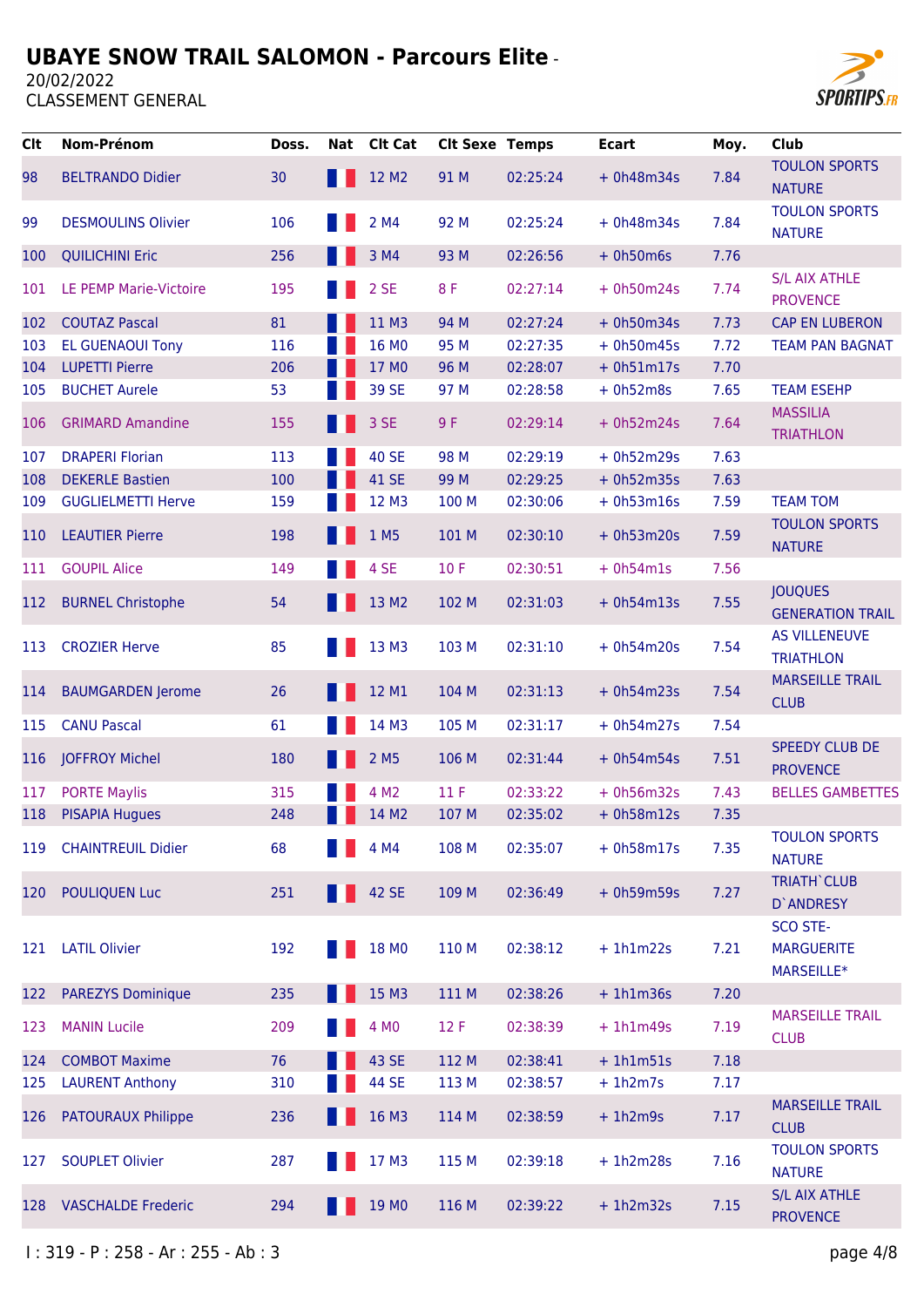

| <b>Clt</b> | Nom-Prénom                | Doss. | Nat | <b>Clt Cat</b>   | <b>Clt Sexe Temps</b> |          | <b>Ecart</b> | Moy. | Club                                      |
|------------|---------------------------|-------|-----|------------------|-----------------------|----------|--------------|------|-------------------------------------------|
| 98         | <b>BELTRANDO Didier</b>   | 30    | H.  | 12 M2            | 91 M                  | 02:25:24 | $+ 0h48m34s$ | 7.84 | <b>TOULON SPORTS</b><br><b>NATURE</b>     |
| 99         | <b>DESMOULINS Olivier</b> | 106   |     | 2 M4             | 92 M                  | 02:25:24 | $+ 0h48m34s$ | 7.84 | <b>TOULON SPORTS</b><br><b>NATURE</b>     |
| 100        | <b>QUILICHINI Eric</b>    | 256   |     | 3 M4             | 93 M                  | 02:26:56 | $+ 0h50m6s$  | 7.76 |                                           |
| 101        | LE PEMP Marie-Victoire    | 195   |     | 2 SE             | 8F                    | 02:27:14 | $+ 0h50m24s$ | 7.74 | <b>S/L AIX ATHLE</b><br><b>PROVENCE</b>   |
| 102        | <b>COUTAZ Pascal</b>      | 81    |     | 11 M3            | 94 M                  | 02:27:24 | $+ 0h50m34s$ | 7.73 | <b>CAP EN LUBERON</b>                     |
| 103        | <b>EL GUENAOUI Tony</b>   | 116   |     | 16 MO            | 95 M                  | 02:27:35 | $+ 0h50m45s$ | 7.72 | <b>TEAM PAN BAGNAT</b>                    |
| 104        | <b>LUPETTI Pierre</b>     | 206   |     | 17 MO            | 96 M                  | 02:28:07 | $+ 0h51m17s$ | 7.70 |                                           |
| 105        | <b>BUCHET Aurele</b>      | 53    |     | 39 SE            | 97 M                  | 02:28:58 | $+ 0h52m8s$  | 7.65 | <b>TEAM ESEHP</b>                         |
| 106        | <b>GRIMARD Amandine</b>   | 155   |     | 3 SE             | 9 F                   | 02:29:14 | $+ 0h52m24s$ | 7.64 | <b>MASSILIA</b><br><b>TRIATHLON</b>       |
| 107        | <b>DRAPERI Florian</b>    | 113   |     | <b>40 SE</b>     | 98 M                  | 02:29:19 | $+ 0h52m29s$ | 7.63 |                                           |
| 108        | <b>DEKERLE Bastien</b>    | 100   |     | 41 SE            | 99 M                  | 02:29:25 | $+ 0h52m35s$ | 7.63 |                                           |
| 109        | <b>GUGLIELMETTI Herve</b> | 159   |     | 12 M3            | 100 M                 | 02:30:06 | $+ 0h53m16s$ | 7.59 | <b>TEAM TOM</b>                           |
| 110        | <b>LEAUTIER Pierre</b>    | 198   |     | 1 M <sub>5</sub> | 101 M                 | 02:30:10 | $+ 0h53m20s$ | 7.59 | <b>TOULON SPORTS</b><br><b>NATURE</b>     |
| 111        | <b>GOUPIL Alice</b>       | 149   |     | 4 SE             | 10F                   | 02:30:51 | $+ 0h54m1s$  | 7.56 |                                           |
| 112        | <b>BURNEL Christophe</b>  | 54    |     | 13 M2            | 102 M                 | 02:31:03 | $+ 0h54m13s$ | 7.55 | <b>JOUQUES</b><br><b>GENERATION TRAIL</b> |
| 113        | <b>CROZIER Herve</b>      | 85    |     | 13 M3            | 103 M                 | 02:31:10 | $+ 0h54m20s$ | 7.54 | <b>AS VILLENEUVE</b><br><b>TRIATHLON</b>  |
| 114        | <b>BAUMGARDEN Jerome</b>  | 26    |     | 12 M1            | 104 M                 | 02:31:13 | $+ 0h54m23s$ | 7.54 | <b>MARSEILLE TRAIL</b><br><b>CLUB</b>     |
| 115        | <b>CANU Pascal</b>        | 61    |     | 14 M3            | 105 M                 | 02:31:17 | $+ 0h54m27s$ | 7.54 |                                           |
| 116        | <b>JOFFROY Michel</b>     | 180   |     | 2 M <sub>5</sub> | 106 M                 | 02:31:44 | $+ 0h54m54s$ | 7.51 | <b>SPEEDY CLUB DE</b><br><b>PROVENCE</b>  |
| 117        | <b>PORTE Maylis</b>       | 315   |     | 4 M <sub>2</sub> | 11F                   | 02:33:22 | $+ 0h56m32s$ | 7.43 | <b>BELLES GAMBETTES</b>                   |
| 118        | <b>PISAPIA Hugues</b>     | 248   |     | 14 M2            | 107 M                 | 02:35:02 | $+ 0h58m12s$ | 7.35 |                                           |
| 119        | <b>CHAINTREUIL Didier</b> | 68    |     | 4 M4             | 108 M                 | 02:35:07 | $+ 0h58m17s$ | 7.35 | <b>TOULON SPORTS</b><br><b>NATURE</b>     |
| 120        | <b>POULIQUEN Luc</b>      | 251   |     | 42 SE            | 109 M                 | 02:36:49 | $+ 0h59m59s$ | 7.27 | <b>TRIATH' CLUB</b><br>D'ANDRESY          |
|            |                           |       |     |                  |                       |          |              |      | SCO STE-                                  |
| 121        | <b>LATIL Olivier</b>      | 192   |     | 18 MO            | 110 M                 | 02:38:12 | $+1h1m22s$   | 7.21 | <b>MARGUERITE</b>                         |
| 122        | <b>PAREZYS Dominique</b>  | 235   |     | 15 M3            | 111 M                 | 02:38:26 | $+1h1m36s$   | 7.20 | MARSEILLE*                                |
| 123        | <b>MANIN Lucile</b>       | 209   |     | 4 M <sub>0</sub> | 12 F                  | 02:38:39 | $+1h1m49s$   | 7.19 | <b>MARSEILLE TRAIL</b><br><b>CLUB</b>     |
| 124        | <b>COMBOT Maxime</b>      | 76    |     | 43 SE            | 112 M                 | 02:38:41 | $+ 1h1m51s$  | 7.18 |                                           |
| 125        | <b>LAURENT Anthony</b>    | 310   |     | 44 SE            | 113 M                 | 02:38:57 | $+1h2m7s$    | 7.17 |                                           |
| 126        | <b>PATOURAUX Philippe</b> | 236   |     | 16 M3            | 114 M                 | 02:38:59 | $+1h2m9s$    | 7.17 | <b>MARSEILLE TRAIL</b><br><b>CLUB</b>     |
| 127        | <b>SOUPLET Olivier</b>    | 287   |     | 17 M3            | 115 M                 | 02:39:18 | $+1h2m28s$   | 7.16 | <b>TOULON SPORTS</b><br><b>NATURE</b>     |
| 128        | <b>VASCHALDE Frederic</b> | 294   |     | 19 MO            | 116 M                 | 02:39:22 | $+1h2m32s$   | 7.15 | <b>S/L AIX ATHLE</b><br><b>PROVENCE</b>   |
|            |                           |       |     |                  |                       |          |              |      |                                           |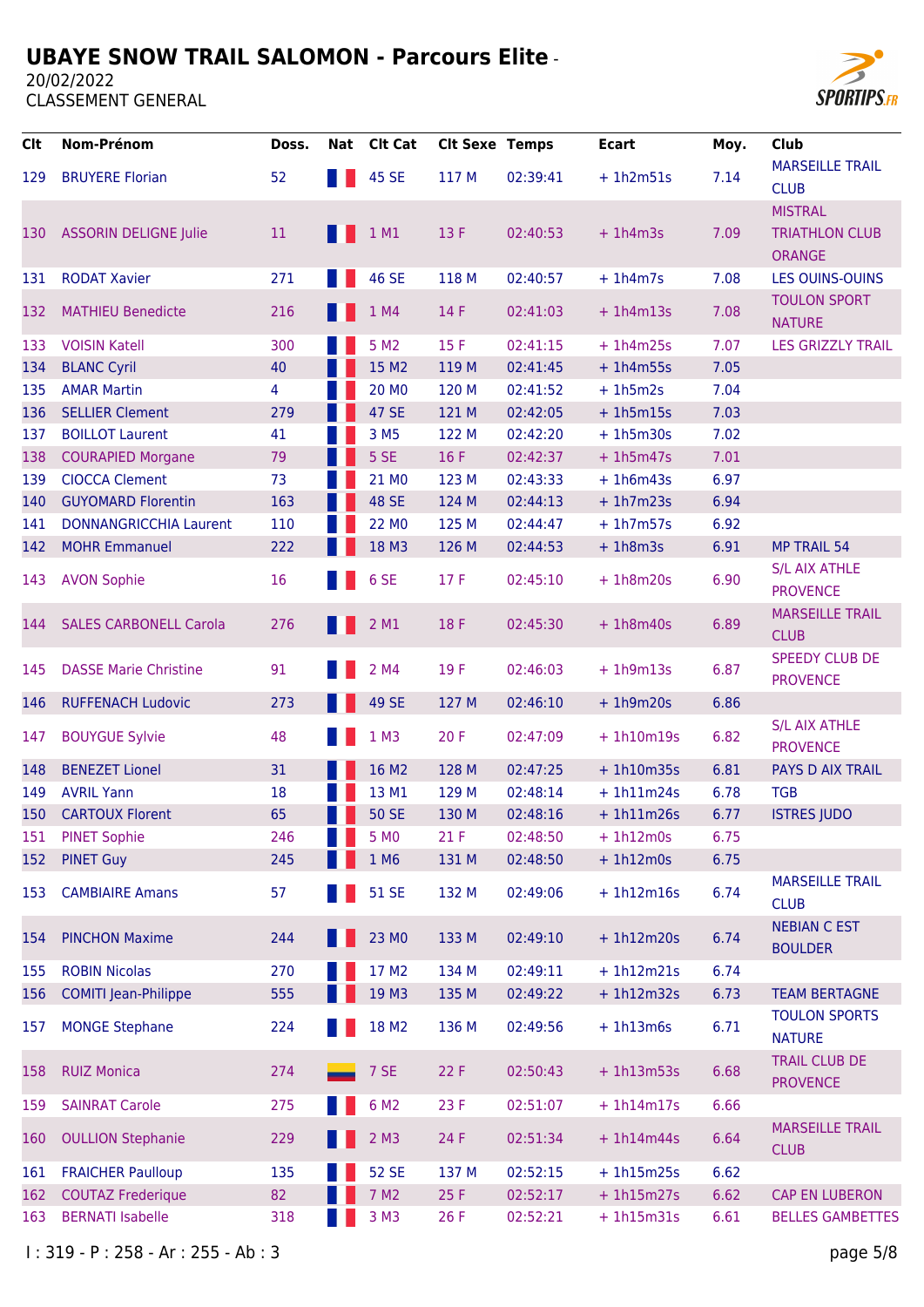20/02/2022



| <b>Clt</b> | Nom-Prénom                    | Doss. | Nat | Clt Cat            | <b>Clt Sexe Temps</b> |          | <b>Ecart</b> | Moy. | Club                                                     |
|------------|-------------------------------|-------|-----|--------------------|-----------------------|----------|--------------|------|----------------------------------------------------------|
| 129        | <b>BRUYERE Florian</b>        | 52    |     | 45 SE              | 117 M                 | 02:39:41 | $+1h2m51s$   | 7.14 | <b>MARSEILLE TRAIL</b><br><b>CLUB</b>                    |
| 130        | <b>ASSORIN DELIGNE Julie</b>  | 11    |     | 1 M1               | 13 F                  | 02:40:53 | $+1h4m3s$    | 7.09 | <b>MISTRAL</b><br><b>TRIATHLON CLUB</b><br><b>ORANGE</b> |
| 131        | <b>RODAT Xavier</b>           | 271   |     | 46 SE              | 118 M                 | 02:40:57 | $+ 1h4m7s$   | 7.08 | <b>LES OUINS-OUINS</b>                                   |
| 132        | <b>MATHIEU Benedicte</b>      | 216   |     | 1 M4               | 14 F                  | 02:41:03 | $+1h4m13s$   | 7.08 | <b>TOULON SPORT</b><br><b>NATURE</b>                     |
| 133        | <b>VOISIN Katell</b>          | 300   |     | 5 M2               | 15F                   | 02:41:15 | $+1h4m25s$   | 7.07 | <b>LES GRIZZLY TRAIL</b>                                 |
| 134        | <b>BLANC Cyril</b>            | 40    |     | 15 M2              | 119 M                 | 02:41:45 | $+1h4m55s$   | 7.05 |                                                          |
| 135        | <b>AMAR Martin</b>            | 4     |     | 20 MO              | 120 M                 | 02:41:52 | $+ 1h5m2s$   | 7.04 |                                                          |
| 136        | <b>SELLIER Clement</b>        | 279   |     | 47 SE              | 121 M                 | 02:42:05 | $+1h5m15s$   | 7.03 |                                                          |
| 137        | <b>BOILLOT Laurent</b>        | 41    |     | 3 M <sub>5</sub>   | 122 M                 | 02:42:20 | $+1h5m30s$   | 7.02 |                                                          |
| 138        | <b>COURAPIED Morgane</b>      | 79    |     | 5 SE               | 16 F                  | 02:42:37 | $+1h5m47s$   | 7.01 |                                                          |
| 139        | <b>CIOCCA Clement</b>         | 73    |     | 21 MO              | 123 M                 | 02:43:33 | $+1h6m43s$   | 6.97 |                                                          |
| 140        | <b>GUYOMARD Florentin</b>     | 163   |     | <b>48 SE</b>       | 124 M                 | 02:44:13 | $+1h7m23s$   | 6.94 |                                                          |
| 141        | <b>DONNANGRICCHIA Laurent</b> | 110   |     | 22 MO              | 125 M                 | 02:44:47 | $+ 1h7m57s$  | 6.92 |                                                          |
| 142        | <b>MOHR Emmanuel</b>          | 222   |     | 18 M3              | 126 M                 | 02:44:53 | $+1h8m3s$    | 6.91 | <b>MP TRAIL 54</b>                                       |
| 143        | <b>AVON Sophie</b>            | 16    |     | 6 SE               | 17F                   | 02:45:10 | $+1h8m20s$   | 6.90 | <b>S/L AIX ATHLE</b><br><b>PROVENCE</b>                  |
| 144        | <b>SALES CARBONELL Carola</b> | 276   |     | 2 M1               | 18 F                  | 02:45:30 | $+1h8m40s$   | 6.89 | <b>MARSEILLE TRAIL</b><br><b>CLUB</b>                    |
| 145        | <b>DASSE Marie Christine</b>  | 91    |     | 2 M4               | 19F                   | 02:46:03 | $+1h9m13s$   | 6.87 | <b>SPEEDY CLUB DE</b><br><b>PROVENCE</b>                 |
| 146        | <b>RUFFENACH Ludovic</b>      | 273   |     | 49 SE              | 127 M                 | 02:46:10 | $+1h9m20s$   | 6.86 |                                                          |
| 147        | <b>BOUYGUE Sylvie</b>         | 48    |     | $1$ M3             | 20F                   | 02:47:09 | $+1h10m19s$  | 6.82 | <b>S/L AIX ATHLE</b><br><b>PROVENCE</b>                  |
| 148        | <b>BENEZET Lionel</b>         | 31    |     | 16 M2              | 128 M                 | 02:47:25 | $+1h10m35s$  | 6.81 | <b>PAYS D AIX TRAIL</b>                                  |
| 149        | <b>AVRIL Yann</b>             | 18    |     | 13 M1              | 129 M                 | 02:48:14 | $+ 1h11m24s$ | 6.78 | <b>TGB</b>                                               |
| 150        | <b>CARTOUX Florent</b>        | 65    |     | <b>50 SE</b>       | 130 M                 | 02:48:16 | $+1h11m26s$  | 6.77 | <b>ISTRES JUDO</b>                                       |
| 151        | <b>PINET Sophie</b>           | 246   |     | 5 M <sub>0</sub>   | 21F                   | 02:48:50 | $+1h12m0s$   | 6.75 |                                                          |
| 152        | <b>PINET Guy</b>              | 245   |     | 1 M6               | 131 M                 | 02:48:50 | $+ 1h12m0s$  | 6.75 |                                                          |
| 153        | <b>CAMBIAIRE Amans</b>        | 57    |     | <b>51 SE</b>       | 132 M                 | 02:49:06 | $+ 1h12m16s$ | 6.74 | <b>MARSEILLE TRAIL</b><br><b>CLUB</b>                    |
| 154        | <b>PINCHON Maxime</b>         | 244   |     | 23 MO              | 133 M                 | 02:49:10 | $+ 1h12m20s$ | 6.74 | <b>NEBIAN C EST</b><br><b>BOULDER</b>                    |
| 155        | <b>ROBIN Nicolas</b>          | 270   |     | 17 M2              | 134 M                 | 02:49:11 | $+ 1h12m21s$ | 6.74 |                                                          |
| 156        | <b>COMITI Jean-Philippe</b>   | 555   |     | 19 M3              | 135 M                 | 02:49:22 | $+ 1h12m32s$ | 6.73 | <b>TEAM BERTAGNE</b>                                     |
| 157        | <b>MONGE Stephane</b>         | 224   |     | 18 M2              | 136 M                 | 02:49:56 | $+1h13m6s$   | 6.71 | <b>TOULON SPORTS</b><br><b>NATURE</b>                    |
| 158        | <b>RUIZ Monica</b>            | 274   |     | 7 SE               | 22 F                  | 02:50:43 | $+ 1h13m53s$ | 6.68 | <b>TRAIL CLUB DE</b><br><b>PROVENCE</b>                  |
| 159        | <b>SAINRAT Carole</b>         | 275   |     | 6 M <sub>2</sub>   | 23 F                  | 02:51:07 | $+ 1h14m17s$ | 6.66 |                                                          |
| 160        | <b>OULLION Stephanie</b>      | 229   |     | $2$ M <sub>3</sub> | 24 F                  | 02:51:34 | $+ 1h14m44s$ | 6.64 | <b>MARSEILLE TRAIL</b><br><b>CLUB</b>                    |
| 161        | <b>FRAICHER Paulloup</b>      | 135   |     | <b>52 SE</b>       | 137 M                 | 02:52:15 | $+ 1h15m25s$ | 6.62 |                                                          |
| 162        | <b>COUTAZ Frederique</b>      | 82    |     | 7 M2               | 25 F                  | 02:52:17 | $+ 1h15m27s$ | 6.62 | <b>CAP EN LUBERON</b>                                    |
| 163        | <b>BERNATI Isabelle</b>       | 318   |     | 3 M3               | 26 F                  | 02:52:21 | $+1h15m31s$  | 6.61 | <b>BELLES GAMBETTES</b>                                  |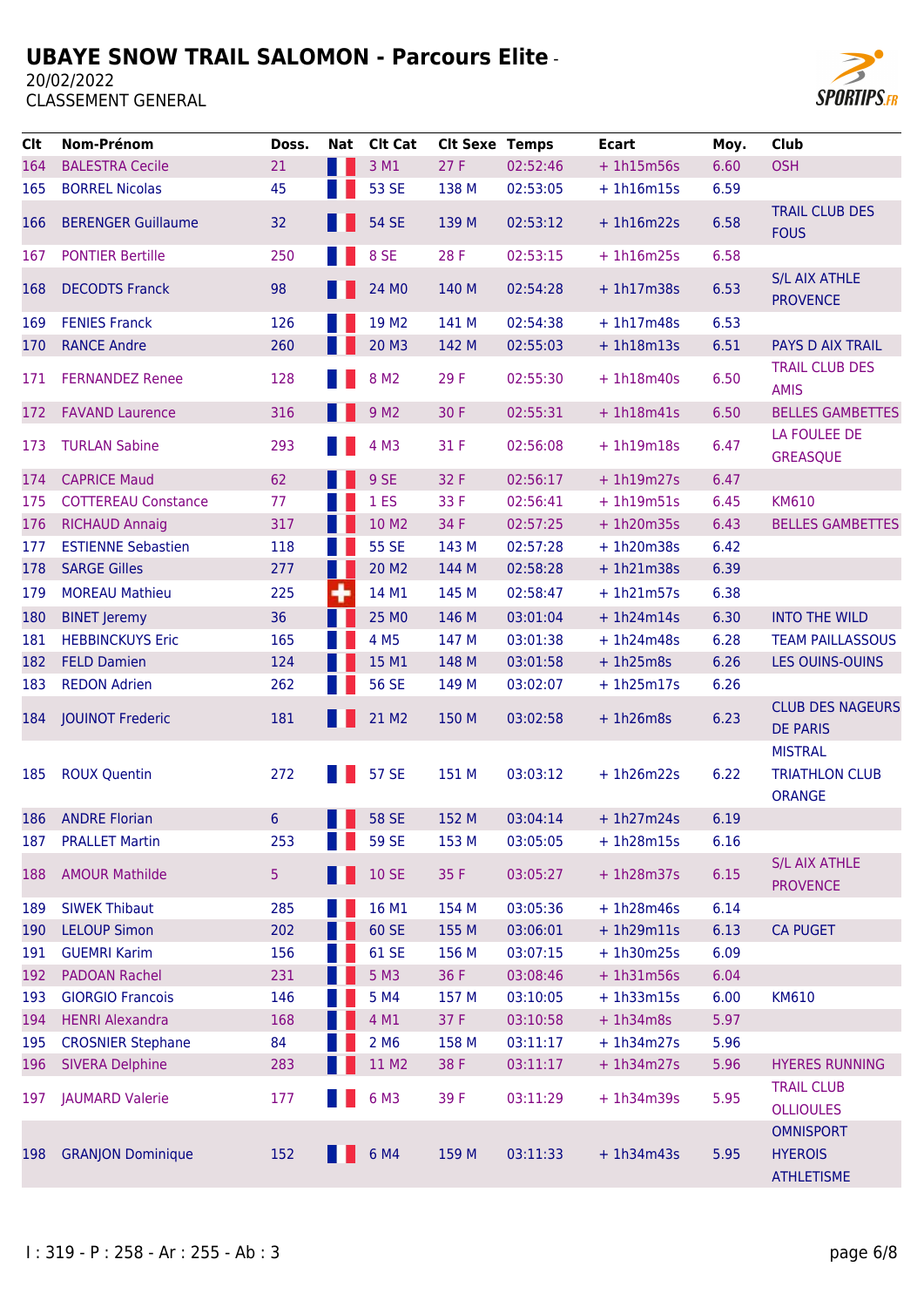

| <b>Clt</b> | Nom-Prénom                 | Doss. | Nat | <b>Clt Cat</b>    | <b>Clt Sexe Temps</b> |          | <b>Ecart</b> | Moy. | <b>Club</b>                                              |
|------------|----------------------------|-------|-----|-------------------|-----------------------|----------|--------------|------|----------------------------------------------------------|
| 164        | <b>BALESTRA Cecile</b>     | 21    | W   | 3 M1              | 27F                   | 02:52:46 | $+1h15m56s$  | 6.60 | <b>OSH</b>                                               |
| 165        | <b>BORREL Nicolas</b>      | 45    |     | 53 SE             | 138 M                 | 02:53:05 | $+1h16m15s$  | 6.59 |                                                          |
| 166        | <b>BERENGER Guillaume</b>  | 32    |     | <b>54 SE</b>      | 139 M                 | 02:53:12 | $+1h16m22s$  | 6.58 | <b>TRAIL CLUB DES</b><br><b>FOUS</b>                     |
| 167        | <b>PONTIER Bertille</b>    | 250   |     | 8 SE              | 28 F                  | 02:53:15 | $+ 1h16m25s$ | 6.58 |                                                          |
| 168        | <b>DECODTS Franck</b>      | 98    |     | 24 M <sub>0</sub> | 140 M                 | 02:54:28 | $+ 1h17m38s$ | 6.53 | <b>S/L AIX ATHLE</b><br><b>PROVENCE</b>                  |
| 169        | <b>FENIES Franck</b>       | 126   |     | 19 M <sub>2</sub> | 141 M                 | 02:54:38 | $+ 1h17m48s$ | 6.53 |                                                          |
| 170        | <b>RANCE Andre</b>         | 260   |     | 20 M3             | 142 M                 | 02:55:03 | $+ 1h18m13s$ | 6.51 | <b>PAYS D AIX TRAIL</b>                                  |
| 171        | <b>FERNANDEZ Renee</b>     | 128   |     | 8 M <sub>2</sub>  | 29 F                  | 02:55:30 | $+ 1h18m40s$ | 6.50 | <b>TRAIL CLUB DES</b><br><b>AMIS</b>                     |
| 172        | <b>FAVAND Laurence</b>     | 316   |     | 9 M <sub>2</sub>  | 30 F                  | 02:55:31 | $+ 1h18m41s$ | 6.50 | <b>BELLES GAMBETTES</b>                                  |
| 173        | <b>TURLAN Sabine</b>       | 293   |     | 4 M3              | 31 F                  | 02:56:08 | $+1h19m18s$  | 6.47 | LA FOULEE DE<br><b>GREASQUE</b>                          |
| 174        | <b>CAPRICE Maud</b>        | 62    |     | 9 SE              | 32 F                  | 02:56:17 | $+ 1h19m27s$ | 6.47 |                                                          |
| 175        | <b>COTTEREAU Constance</b> | 77    |     | 1 <sub>ES</sub>   | 33 F                  | 02:56:41 | $+ 1h19m51s$ | 6.45 | <b>KM610</b>                                             |
| 176        | <b>RICHAUD Annaig</b>      | 317   |     | 10 M2             | 34 F                  | 02:57:25 | $+ 1h20m35s$ | 6.43 | <b>BELLES GAMBETTES</b>                                  |
| 177        | <b>ESTIENNE Sebastien</b>  | 118   |     | 55 SE             | 143 M                 | 02:57:28 | $+ 1h20m38s$ | 6.42 |                                                          |
| 178        | <b>SARGE Gilles</b>        | 277   |     | 20 M <sub>2</sub> | 144 M                 | 02:58:28 | $+1h21m38s$  | 6.39 |                                                          |
| 179        | <b>MOREAU Mathieu</b>      | 225   | ۰   | 14 M1             | 145 M                 | 02:58:47 | $+ 1h21m57s$ | 6.38 |                                                          |
| 180        | <b>BINET Jeremy</b>        | 36    |     | 25 MO             | 146 M                 | 03:01:04 | $+ 1h24m14s$ | 6.30 | <b>INTO THE WILD</b>                                     |
| 181        | <b>HEBBINCKUYS Eric</b>    | 165   |     | 4 M5              | 147 M                 | 03:01:38 | $+ 1h24m48s$ | 6.28 | <b>TEAM PAILLASSOUS</b>                                  |
| 182        | <b>FELD Damien</b>         | 124   |     | 15 M1             | 148 M                 | 03:01:58 | $+1h25m8s$   | 6.26 | <b>LES OUINS-OUINS</b>                                   |
| 183        | <b>REDON Adrien</b>        | 262   |     | <b>56 SE</b>      | 149 M                 | 03:02:07 | $+ 1h25m17s$ | 6.26 |                                                          |
| 184        | <b>JOUINOT Frederic</b>    | 181   |     | 21 M2             | 150 M                 | 03:02:58 | $+1h26m8s$   | 6.23 | <b>CLUB DES NAGEURS</b><br><b>DE PARIS</b>               |
| 185        | <b>ROUX Quentin</b>        | 272   |     | <b>57 SE</b>      | 151 M                 | 03:03:12 | $+1h26m22s$  | 6.22 | <b>MISTRAL</b><br><b>TRIATHLON CLUB</b><br><b>ORANGE</b> |
| 186        | <b>ANDRE Florian</b>       | 6     |     | <b>58 SE</b>      | 152 M                 | 03:04:14 | $+1h27m24s$  | 6.19 |                                                          |
| 187        | <b>PRALLET Martin</b>      | 253   |     | <b>59 SE</b>      | 153 M                 | 03:05:05 | $+ 1h28m15s$ | 6.16 |                                                          |
| 188        | <b>AMOUR Mathilde</b>      | 5     |     | <b>10 SE</b>      | 35 F                  | 03:05:27 | $+ 1h28m37s$ | 6.15 | <b>S/L AIX ATHLE</b><br><b>PROVENCE</b>                  |
| 189        | <b>SIWEK Thibaut</b>       | 285   |     | 16 M1             | 154 M                 | 03:05:36 | $+ 1h28m46s$ | 6.14 |                                                          |
| 190        | <b>LELOUP Simon</b>        | 202   |     | 60 SE             | 155 M                 | 03:06:01 | $+ 1h29m11s$ | 6.13 | <b>CA PUGET</b>                                          |
| 191        | <b>GUEMRI Karim</b>        | 156   |     | 61 SE             | 156 M                 | 03:07:15 | $+1h30m25s$  | 6.09 |                                                          |
| 192        | <b>PADOAN Rachel</b>       | 231   |     | 5 M3              | 36 F                  | 03:08:46 | $+ 1h31m56s$ | 6.04 |                                                          |
| 193        | <b>GIORGIO Francois</b>    | 146   |     | 5 M4              | 157 M                 | 03:10:05 | $+ 1h33m15s$ | 6.00 | <b>KM610</b>                                             |
| 194        | <b>HENRI Alexandra</b>     | 168   |     | 4 M1              | 37 F                  | 03:10:58 | $+ 1h34m8s$  | 5.97 |                                                          |
| 195        | <b>CROSNIER Stephane</b>   | 84    |     | 2 M <sub>6</sub>  | 158 M                 | 03:11:17 | $+ 1h34m27s$ | 5.96 |                                                          |
| 196        | <b>SIVERA Delphine</b>     | 283   |     | 11 M2             | 38 F                  | 03:11:17 | $+ 1h34m27s$ | 5.96 | <b>HYERES RUNNING</b>                                    |
| 197        | <b>JAUMARD Valerie</b>     | 177   |     | 6 M3              | 39F                   | 03:11:29 | $+ 1h34m39s$ | 5.95 | <b>TRAIL CLUB</b><br><b>OLLIOULES</b>                    |
| 198        | <b>GRANJON Dominique</b>   | 152   |     | 6 M4              | 159 M                 | 03:11:33 | $+ 1h34m43s$ | 5.95 | <b>OMNISPORT</b><br><b>HYEROIS</b><br><b>ATHLETISME</b>  |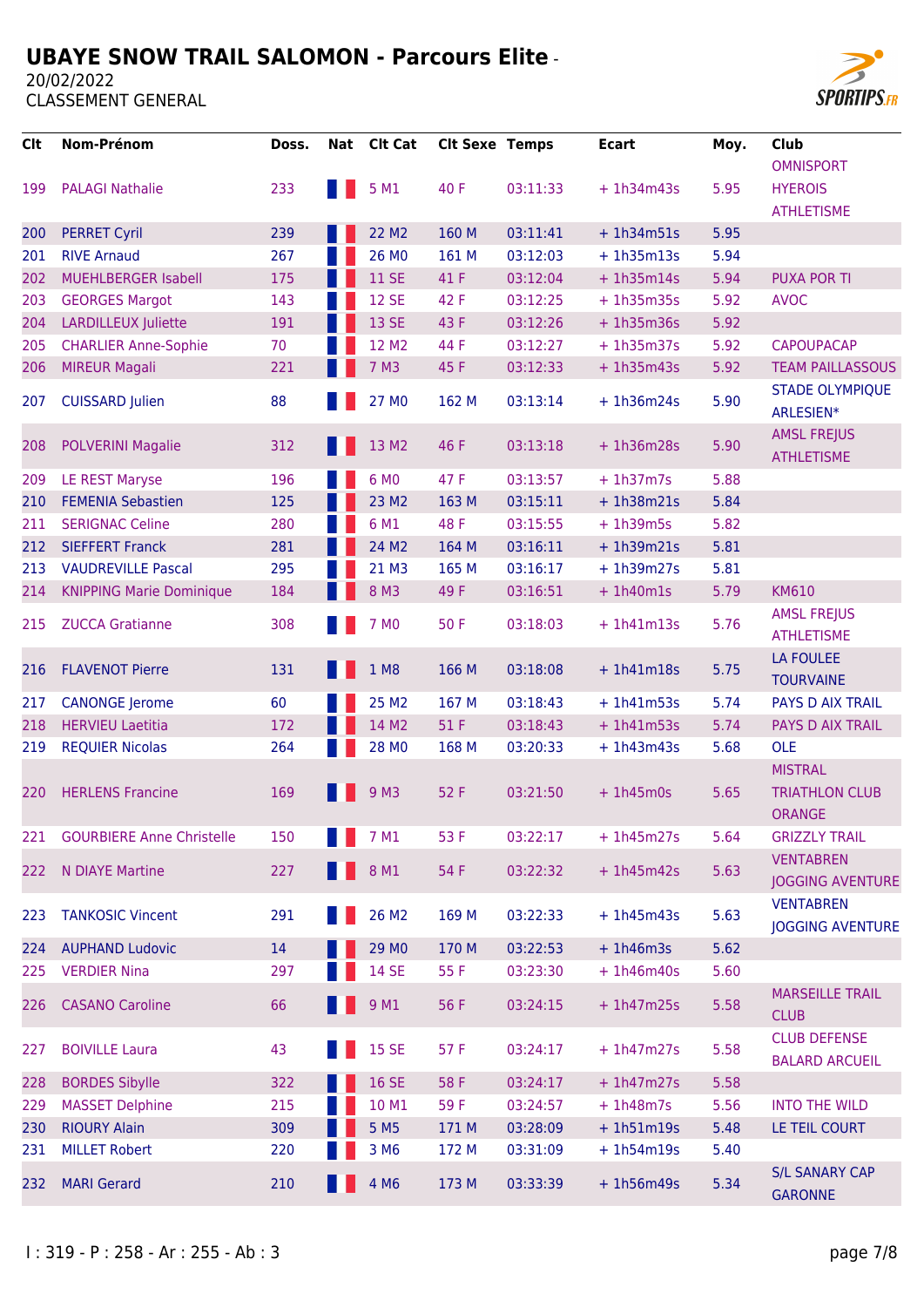20/02/2022



| Clt | Nom-Prénom                       | Doss. |              | Nat Clt Cat      | <b>CIt Sexe Temps</b> |          | <b>Ecart</b> | Moy. | <b>Club</b>                                              |
|-----|----------------------------------|-------|--------------|------------------|-----------------------|----------|--------------|------|----------------------------------------------------------|
|     |                                  |       |              |                  |                       |          |              |      | <b>OMNISPORT</b>                                         |
| 199 | <b>PALAGI Nathalie</b>           | 233   |              | 5 M1             | 40 F                  | 03:11:33 | $+1h34m43s$  | 5.95 | <b>HYEROIS</b>                                           |
|     |                                  |       |              |                  |                       |          |              |      | <b>ATHLETISME</b>                                        |
| 200 | <b>PERRET Cyril</b>              | 239   |              | 22 M2            | 160 M                 | 03:11:41 | $+1h34m51s$  | 5.95 |                                                          |
| 201 | <b>RIVE Arnaud</b>               | 267   |              | 26 MO            | 161 M                 | 03:12:03 | $+ 1h35m13s$ | 5.94 |                                                          |
| 202 | <b>MUEHLBERGER Isabell</b>       | 175   |              | <b>11 SE</b>     | 41 F                  | 03:12:04 | $+ 1h35m14s$ | 5.94 | <b>PUXA POR TI</b>                                       |
| 203 | <b>GEORGES Margot</b>            | 143   |              | <b>12 SE</b>     | 42 F                  | 03:12:25 | $+ 1h35m35s$ | 5.92 | <b>AVOC</b>                                              |
| 204 | <b>LARDILLEUX Juliette</b>       | 191   |              | 13 SE            | 43 F                  | 03:12:26 | $+1h35m36s$  | 5.92 |                                                          |
| 205 | <b>CHARLIER Anne-Sophie</b>      | 70    |              | 12 M2            | 44 F                  | 03:12:27 | $+ 1h35m37s$ | 5.92 | <b>CAPOUPACAP</b>                                        |
| 206 | <b>MIREUR Magali</b>             | 221   |              | 7 M3             | 45 F                  | 03:12:33 | $+ 1h35m43s$ | 5.92 | <b>TEAM PAILLASSOUS</b>                                  |
| 207 | <b>CUISSARD Julien</b>           | 88    |              | 27 MO            | 162 M                 | 03:13:14 | $+ 1h36m24s$ | 5.90 | <b>STADE OLYMPIQUE</b><br>ARLESIEN*                      |
| 208 | <b>POLVERINI Magalie</b>         | 312   |              | 13 M2            | 46 F                  | 03:13:18 | $+1h36m28s$  | 5.90 | <b>AMSL FREJUS</b><br><b>ATHLETISME</b>                  |
| 209 | <b>LE REST Maryse</b>            | 196   |              | 6 MO             | 47 F                  | 03:13:57 | $+ 1h37m7s$  | 5.88 |                                                          |
| 210 | <b>FEMENIA Sebastien</b>         | 125   |              | 23 M2            | 163 M                 | 03:15:11 | $+ 1h38m21s$ | 5.84 |                                                          |
| 211 | <b>SERIGNAC Celine</b>           | 280   |              | 6 M1             | 48 F                  | 03:15:55 | $+ 1h39m5s$  | 5.82 |                                                          |
| 212 | <b>SIEFFERT Franck</b>           | 281   |              | 24 M2            | 164 M                 | 03:16:11 | $+ 1h39m21s$ | 5.81 |                                                          |
| 213 | <b>VAUDREVILLE Pascal</b>        | 295   |              | 21 M3            | 165 M                 | 03:16:17 | $+ 1h39m27s$ | 5.81 |                                                          |
| 214 | <b>KNIPPING Marie Dominique</b>  | 184   |              | 8 M3             | 49 F                  | 03:16:51 | $+1h40m1s$   | 5.79 | <b>KM610</b>                                             |
| 215 | <b>ZUCCA Gratianne</b>           | 308   |              | 7 M <sub>0</sub> | 50F                   | 03:18:03 | $+ 1h41m13s$ | 5.76 | <b>AMSL FREJUS</b><br><b>ATHLETISME</b>                  |
| 216 | <b>FLAVENOT Pierre</b>           | 131   |              | 1 M8             | 166 M                 | 03:18:08 | $+1h41m18s$  | 5.75 | LA FOULEE<br><b>TOURVAINE</b>                            |
| 217 | <b>CANONGE</b> Jerome            | 60    |              | 25 M2            | 167 M                 | 03:18:43 | $+ 1h41m53s$ | 5.74 | <b>PAYS D AIX TRAIL</b>                                  |
| 218 | <b>HERVIEU Laetitia</b>          | 172   |              | 14 M2            | 51 F                  | 03:18:43 | $+ 1h41m53s$ | 5.74 | PAYS D AIX TRAIL                                         |
| 219 | <b>REQUIER Nicolas</b>           | 264   |              | 28 MO            | 168 M                 | 03:20:33 | $+ 1h43m43s$ | 5.68 | <b>OLE</b>                                               |
| 220 | <b>HERLENS Francine</b>          | 169   |              | 9 M3             | 52 F                  | 03:21:50 | $+1h45m0s$   | 5.65 | <b>MISTRAL</b><br><b>TRIATHLON CLUB</b><br><b>ORANGE</b> |
| 221 | <b>GOURBIERE Anne Christelle</b> | 150   | <b>TABLE</b> | 7 M1             | 53 F                  | 03:22:17 | $+1h45m27s$  | 5.64 | <b>GRIZZLY TRAIL</b>                                     |
| 222 | N DIAYE Martine                  | 227   |              | 8 M1             | 54 F                  | 03:22:32 | $+1h45m42s$  | 5.63 | <b>VENTABREN</b><br><b>JOGGING AVENTURE</b>              |
| 223 | <b>TANKOSIC Vincent</b>          | 291   |              | 26 M2            | 169 M                 | 03:22:33 | $+1h45m43s$  | 5.63 | <b>VENTABREN</b><br><b>JOGGING AVENTURE</b>              |
| 224 | <b>AUPHAND Ludovic</b>           | 14    |              | 29 MO            | 170 M                 | 03:22:53 | $+1h46m3s$   | 5.62 |                                                          |
| 225 | <b>VERDIER Nina</b>              | 297   |              | <b>14 SE</b>     | 55 F                  | 03:23:30 | $+ 1h46m40s$ | 5.60 |                                                          |
| 226 | <b>CASANO Caroline</b>           | 66    |              | 9 M1             | 56 F                  | 03:24:15 | $+1h47m25s$  | 5.58 | <b>MARSEILLE TRAIL</b><br><b>CLUB</b>                    |
| 227 | <b>BOIVILLE Laura</b>            | 43    |              | <b>15 SE</b>     | 57 F                  | 03:24:17 | $+1h47m27s$  | 5.58 | <b>CLUB DEFENSE</b><br><b>BALARD ARCUEIL</b>             |
| 228 | <b>BORDES Sibylle</b>            | 322   |              | <b>16 SE</b>     | 58 F                  | 03:24:17 | $+ 1h47m27s$ | 5.58 |                                                          |
| 229 | <b>MASSET Delphine</b>           | 215   |              | 10 M1            | 59F                   | 03:24:57 | $+ 1h48m7s$  | 5.56 | <b>INTO THE WILD</b>                                     |
| 230 | <b>RIOURY Alain</b>              | 309   |              | 5 M <sub>5</sub> | 171 M                 | 03:28:09 | $+ 1h51m19s$ | 5.48 | LE TEIL COURT                                            |
| 231 | <b>MILLET Robert</b>             | 220   |              | 3 M <sub>6</sub> | 172 M                 | 03:31:09 | $+1h54m19s$  | 5.40 |                                                          |
| 232 | <b>MARI Gerard</b>               | 210   |              | 4 M <sub>6</sub> | 173 M                 | 03:33:39 | $+1h56m49s$  | 5.34 | <b>S/L SANARY CAP</b><br><b>GARONNE</b>                  |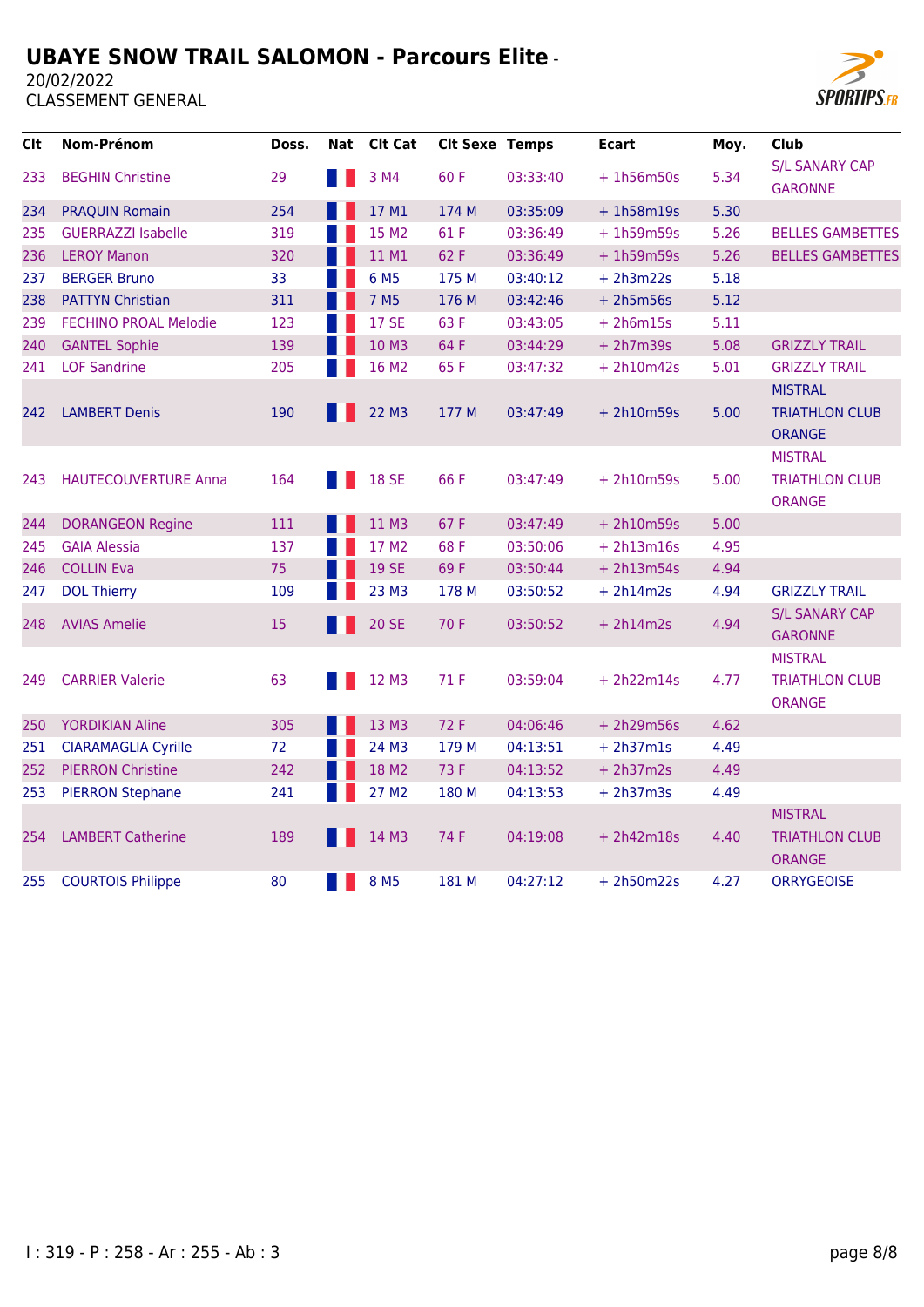

| <b>Clt</b> | Nom-Prénom                   | Doss. | Nat | <b>Clt Cat</b>   | <b>Clt Sexe Temps</b> |          | <b>Ecart</b> | Moy. | Club                                                     |
|------------|------------------------------|-------|-----|------------------|-----------------------|----------|--------------|------|----------------------------------------------------------|
| 233        | <b>BEGHIN Christine</b>      | 29    |     | 3 M4             | 60F                   | 03:33:40 | $+ 1h56m50s$ | 5.34 | <b>S/L SANARY CAP</b><br><b>GARONNE</b>                  |
| 234        | <b>PRAQUIN Romain</b>        | 254   |     | 17 M1            | 174 M                 | 03:35:09 | $+1h58m19s$  | 5.30 |                                                          |
| 235        | <b>GUERRAZZI Isabelle</b>    | 319   |     | 15 M2            | 61 F                  | 03:36:49 | $+ 1h59m59s$ | 5.26 | <b>BELLES GAMBETTES</b>                                  |
| 236        | <b>LEROY Manon</b>           | 320   |     | 11 M1            | 62 F                  | 03:36:49 | $+ 1h59m59s$ | 5.26 | <b>BELLES GAMBETTES</b>                                  |
| 237        | <b>BERGER Bruno</b>          | 33    |     | 6 M <sub>5</sub> | 175 M                 | 03:40:12 | $+ 2h3m22s$  | 5.18 |                                                          |
| 238        | <b>PATTYN Christian</b>      | 311   |     | 7 M <sub>5</sub> | 176 M                 | 03:42:46 | $+ 2h5m56s$  | 5.12 |                                                          |
| 239        | <b>FECHINO PROAL Melodie</b> | 123   |     | <b>17 SE</b>     | 63 F                  | 03:43:05 | $+ 2h6m15s$  | 5.11 |                                                          |
| 240        | <b>GANTEL Sophie</b>         | 139   |     | 10 M3            | 64 F                  | 03:44:29 | $+ 2h7m39s$  | 5.08 | <b>GRIZZLY TRAIL</b>                                     |
| 241        | <b>LOF Sandrine</b>          | 205   |     | 16 M2            | 65F                   | 03:47:32 | $+ 2h10m42s$ | 5.01 | <b>GRIZZLY TRAIL</b>                                     |
| 242        | <b>LAMBERT Denis</b>         | 190   |     | 22 M3            | 177 M                 | 03:47:49 | $+ 2h10m59s$ | 5.00 | <b>MISTRAL</b><br><b>TRIATHLON CLUB</b><br><b>ORANGE</b> |
| 243        | <b>HAUTECOUVERTURE Anna</b>  | 164   |     | <b>18 SE</b>     | 66F                   | 03:47:49 | $+ 2h10m59s$ | 5.00 | <b>MISTRAL</b><br><b>TRIATHLON CLUB</b><br><b>ORANGE</b> |
| 244        | <b>DORANGEON Regine</b>      | 111   |     | 11 M3            | 67 F                  | 03:47:49 | $+ 2h10m59s$ | 5.00 |                                                          |
| 245        | <b>GAIA Alessia</b>          | 137   |     | 17 M2            | 68F                   | 03:50:06 | $+ 2h13m16s$ | 4.95 |                                                          |
| 246        | <b>COLLIN Eva</b>            | 75    |     | <b>19 SE</b>     | 69F                   | 03:50:44 | $+ 2h13m54s$ | 4.94 |                                                          |
| 247        | <b>DOL Thierry</b>           | 109   |     | 23 M3            | 178 M                 | 03:50:52 | $+ 2h14m2s$  | 4.94 | <b>GRIZZLY TRAIL</b>                                     |
| 248        | <b>AVIAS Amelie</b>          | 15    |     | <b>20 SE</b>     | 70 F                  | 03:50:52 | $+ 2h14m2s$  | 4.94 | <b>S/L SANARY CAP</b><br><b>GARONNE</b>                  |
|            |                              |       |     |                  |                       |          |              |      | <b>MISTRAL</b>                                           |
| 249        | <b>CARRIER Valerie</b>       | 63    |     | 12 M3            | 71 F                  | 03:59:04 | $+ 2h22m14s$ | 4.77 | <b>TRIATHLON CLUB</b><br><b>ORANGE</b>                   |
| 250        | <b>YORDIKIAN Aline</b>       | 305   |     | 13 M3            | 72 F                  | 04:06:46 | $+ 2h29m56s$ | 4.62 |                                                          |
| 251        | <b>CIARAMAGLIA Cyrille</b>   | 72    |     | 24 M3            | 179 M                 | 04:13:51 | $+ 2h37m1s$  | 4.49 |                                                          |
| 252        | <b>PIERRON Christine</b>     | 242   |     | 18 M2            | 73 F                  | 04:13:52 | $+ 2h37m2s$  | 4.49 |                                                          |
| 253        | <b>PIERRON Stephane</b>      | 241   |     | 27 M2            | 180 M                 | 04:13:53 | $+ 2h37m3s$  | 4.49 |                                                          |
| 254        | <b>LAMBERT Catherine</b>     | 189   |     | 14 M3            | 74 F                  | 04:19:08 | $+ 2h42m18s$ | 4.40 | <b>MISTRAL</b><br><b>TRIATHLON CLUB</b><br><b>ORANGE</b> |
| 255        | <b>COURTOIS Philippe</b>     | 80    |     | 8 M <sub>5</sub> | 181 M                 | 04:27:12 | $+ 2h50m22s$ | 4.27 | <b>ORRYGEOISE</b>                                        |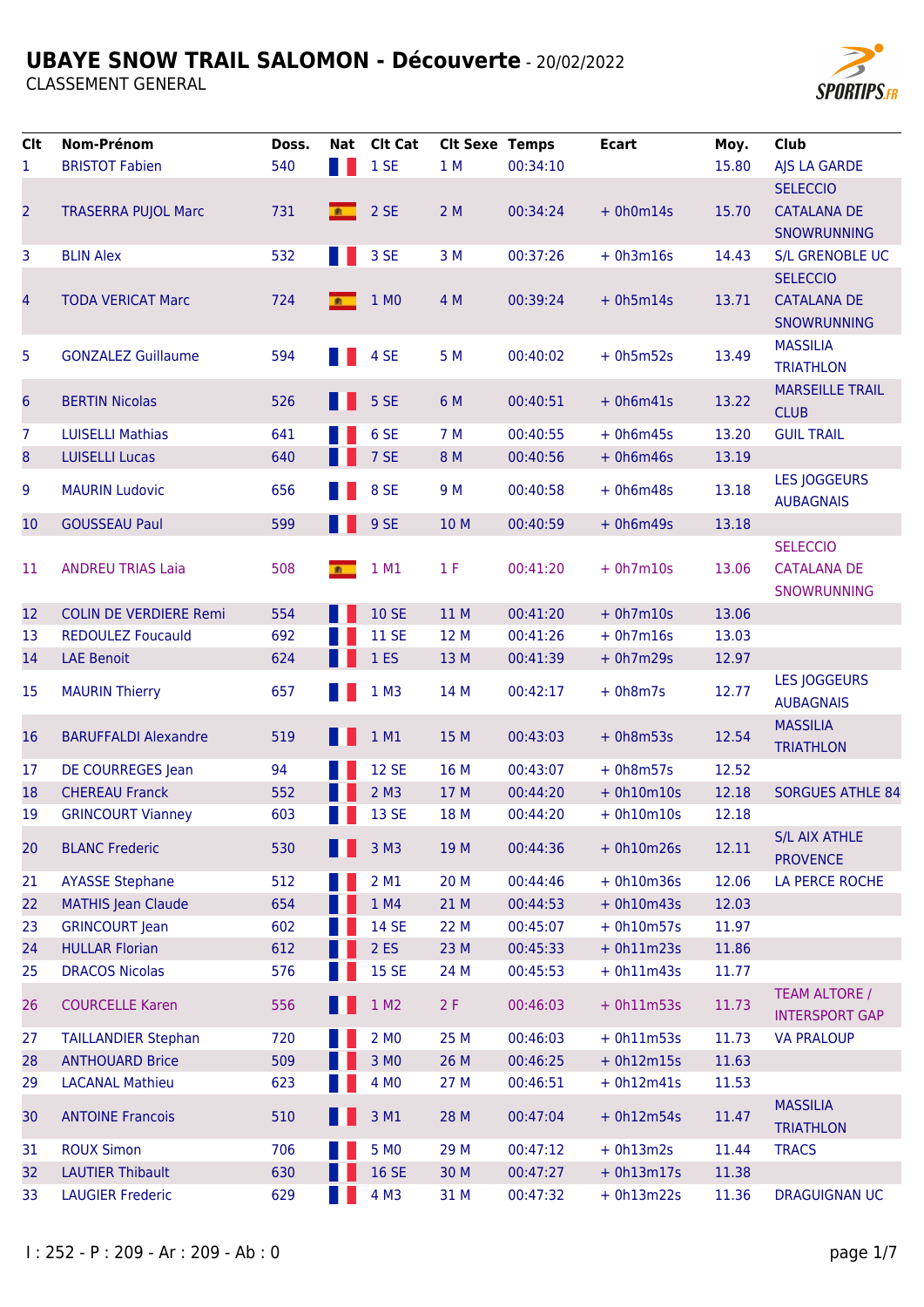

| <b>Clt</b>      | Nom-Prénom                    | Doss. |   | Nat Clt Cat        | <b>Clt Sexe Temps</b> |          | <b>Ecart</b> | Moy.  | Club                             |
|-----------------|-------------------------------|-------|---|--------------------|-----------------------|----------|--------------|-------|----------------------------------|
| 1               | <b>BRISTOT Fabien</b>         | 540   |   | 1SE                | 1 M                   | 00:34:10 |              | 15.80 | AJS LA GARDE                     |
|                 |                               |       |   |                    |                       |          |              |       | <b>SELECCIO</b>                  |
| $\overline{2}$  | <b>TRASERRA PUJOL Marc</b>    | 731   | 新 | 2 SE               | 2M                    | 00:34:24 | $+ 0h0m14s$  | 15.70 | <b>CATALANA DE</b>               |
|                 |                               |       |   |                    |                       |          |              |       | SNOWRUNNING                      |
| 3               | <b>BLIN Alex</b>              | 532   |   | 3 SE               | 3 M                   | 00:37:26 | $+ 0h3m16s$  | 14.43 | <b>S/L GRENOBLE UC</b>           |
|                 |                               |       |   |                    |                       |          |              |       | <b>SELECCIO</b>                  |
| 4               | <b>TODA VERICAT Marc</b>      | 724   | 新 | 1 MO               | 4 M                   | 00:39:24 | $+ 0h5m14s$  | 13.71 | <b>CATALANA DE</b>               |
|                 |                               |       |   |                    |                       |          |              |       | SNOWRUNNING                      |
| 5               | <b>GONZALEZ Guillaume</b>     | 594   |   | 4 SE               | 5 M                   | 00:40:02 | $+ 0h5m52s$  | 13.49 | <b>MASSILIA</b>                  |
|                 |                               |       |   |                    |                       |          |              |       | <b>TRIATHLON</b>                 |
| 6               | <b>BERTIN Nicolas</b>         | 526   |   | 5 SE               | 6 M                   | 00:40:51 | $+ 0h6m41s$  | 13.22 | <b>MARSEILLE TRAIL</b>           |
|                 |                               |       |   |                    |                       |          |              |       | <b>CLUB</b>                      |
| 7               | <b>LUISELLI Mathias</b>       | 641   |   | 6 SE               | 7 M                   | 00:40:55 | $+ 0h6m45s$  | 13.20 | <b>GUIL TRAIL</b>                |
| 8               | <b>LUISELLI Lucas</b>         | 640   |   | 7 SE               | 8 M                   | 00:40:56 | $+ 0h6m46s$  | 13.19 |                                  |
| 9               | <b>MAURIN Ludovic</b>         | 656   |   | 8 SE               | 9 M                   | 00:40:58 | $+ 0h6m48s$  | 13.18 | <b>LES JOGGEURS</b>              |
|                 |                               |       |   |                    |                       |          |              |       | <b>AUBAGNAIS</b>                 |
| 10              | <b>GOUSSEAU Paul</b>          | 599   |   | 9 SE               | 10 M                  | 00:40:59 | $+ 0h6m49s$  | 13.18 |                                  |
|                 |                               |       |   |                    |                       |          |              |       | <b>SELECCIO</b>                  |
| 11              | <b>ANDREU TRIAS Laia</b>      | 508   | 新 | 1 M1               | 1 F                   | 00:41:20 | $+ 0h7m10s$  | 13.06 | <b>CATALANA DE</b>               |
|                 |                               |       |   |                    |                       |          |              |       | SNOWRUNNING                      |
| 12 <sup>2</sup> | <b>COLIN DE VERDIERE Remi</b> | 554   |   | <b>10 SE</b>       | 11 M                  | 00:41:20 | $+ 0h7m10s$  | 13.06 |                                  |
| 13              | <b>REDOULEZ Foucauld</b>      | 692   |   | <b>11 SE</b>       | 12 M                  | 00:41:26 | $+ 0h7m16s$  | 13.03 |                                  |
| 14              | <b>LAE Benoit</b>             | 624   |   | 1 <sub>ES</sub>    | 13 M                  | 00:41:39 | $+ 0h7m29s$  | 12.97 |                                  |
| 15              | <b>MAURIN Thierry</b>         | 657   |   | 1 M3               | 14 M                  | 00:42:17 | $+ 0h8m7s$   | 12.77 | <b>LES JOGGEURS</b>              |
|                 |                               |       |   |                    |                       |          |              |       | <b>AUBAGNAIS</b>                 |
| 16              | <b>BARUFFALDI Alexandre</b>   | 519   |   | 1 M1               | 15 M                  | 00:43:03 | $+ 0h8m53s$  | 12.54 | <b>MASSILIA</b>                  |
|                 |                               |       |   |                    |                       |          |              |       | <b>TRIATHLON</b>                 |
| 17              | DE COURREGES Jean             | 94    |   | <b>12 SE</b>       | 16 M                  | 00:43:07 | $+ 0h8m57s$  | 12.52 |                                  |
| 18              | <b>CHEREAU Franck</b>         | 552   |   | $2$ M <sub>3</sub> | 17 M                  | 00:44:20 | $+ 0h10m10s$ | 12.18 | <b>SORGUES ATHLE 84</b>          |
| 19              | <b>GRINCOURT Vianney</b>      | 603   |   | <b>13 SE</b>       | 18 M                  | 00:44:20 | $+ 0h10m10s$ | 12.18 |                                  |
| 20              | <b>BLANC Frederic</b>         | 530   |   | 3 M3               | 19 M                  | 00:44:36 | $+ 0h10m26s$ | 12.11 | <b>S/L AIX ATHLE</b>             |
|                 |                               |       |   |                    |                       |          |              |       | <b>PROVENCE</b>                  |
| 21              | <b>AYASSE Stephane</b>        | 512   |   | 2 M1               | 20 M                  | 00:44:46 | $+ 0h10m36s$ | 12.06 | LA PERCE ROCHE                   |
| 22              | <b>MATHIS Jean Claude</b>     | 654   |   | 1 M4               | 21 M                  | 00:44:53 | $+ 0h10m43s$ | 12.03 |                                  |
| 23              | <b>GRINCOURT Jean</b>         | 602   |   | <b>14 SE</b>       | 22 M                  | 00:45:07 | $+ 0h10m57s$ | 11.97 |                                  |
| 24              | <b>HULLAR Florian</b>         | 612   |   | 2ES                | 23 M                  | 00:45:33 | $+ 0h11m23s$ | 11.86 |                                  |
| 25              | <b>DRACOS Nicolas</b>         | 576   |   | <b>15 SE</b>       | 24 M                  | 00:45:53 | $+ 0h11m43s$ | 11.77 |                                  |
| 26              | <b>COURCELLE Karen</b>        | 556   |   | 1 M2               | 2F                    | 00:46:03 | $+ 0h11m53s$ | 11.73 | <b>TEAM ALTORE /</b>             |
|                 |                               |       |   |                    |                       |          |              |       | <b>INTERSPORT GAP</b>            |
| 27              | <b>TAILLANDIER Stephan</b>    | 720   |   | 2 MO               | 25 M                  | 00:46:03 | $+ 0h11m53s$ | 11.73 | <b>VA PRALOUP</b>                |
| 28              | <b>ANTHOUARD Brice</b>        | 509   |   | 3 MO               | 26 M                  | 00:46:25 | $+ 0h12m15s$ | 11.63 |                                  |
| 29              | <b>LACANAL Mathieu</b>        | 623   |   | 4 MO               | 27 M                  | 00:46:51 | $+ 0h12m41s$ | 11.53 |                                  |
| 30              | <b>ANTOINE Francois</b>       | 510   |   | 3 M1               | 28 M                  | 00:47:04 | $+ 0h12m54s$ | 11.47 | <b>MASSILIA</b>                  |
|                 | <b>ROUX Simon</b>             | 706   |   | 5 MO               | 29 M                  | 00:47:12 | $+ 0h13m2s$  | 11.44 | <b>TRIATHLON</b><br><b>TRACS</b> |
| 31              | <b>LAUTIER Thibault</b>       | 630   |   | <b>16 SE</b>       | 30 M                  | 00:47:27 | $+ 0h13m17s$ |       |                                  |
| 32<br>33        | <b>LAUGIER Frederic</b>       |       |   | 4 M3               |                       | 00:47:32 | $+ 0h13m22s$ | 11.38 | <b>DRAGUIGNAN UC</b>             |
|                 |                               | 629   |   |                    | 31 M                  |          |              | 11.36 |                                  |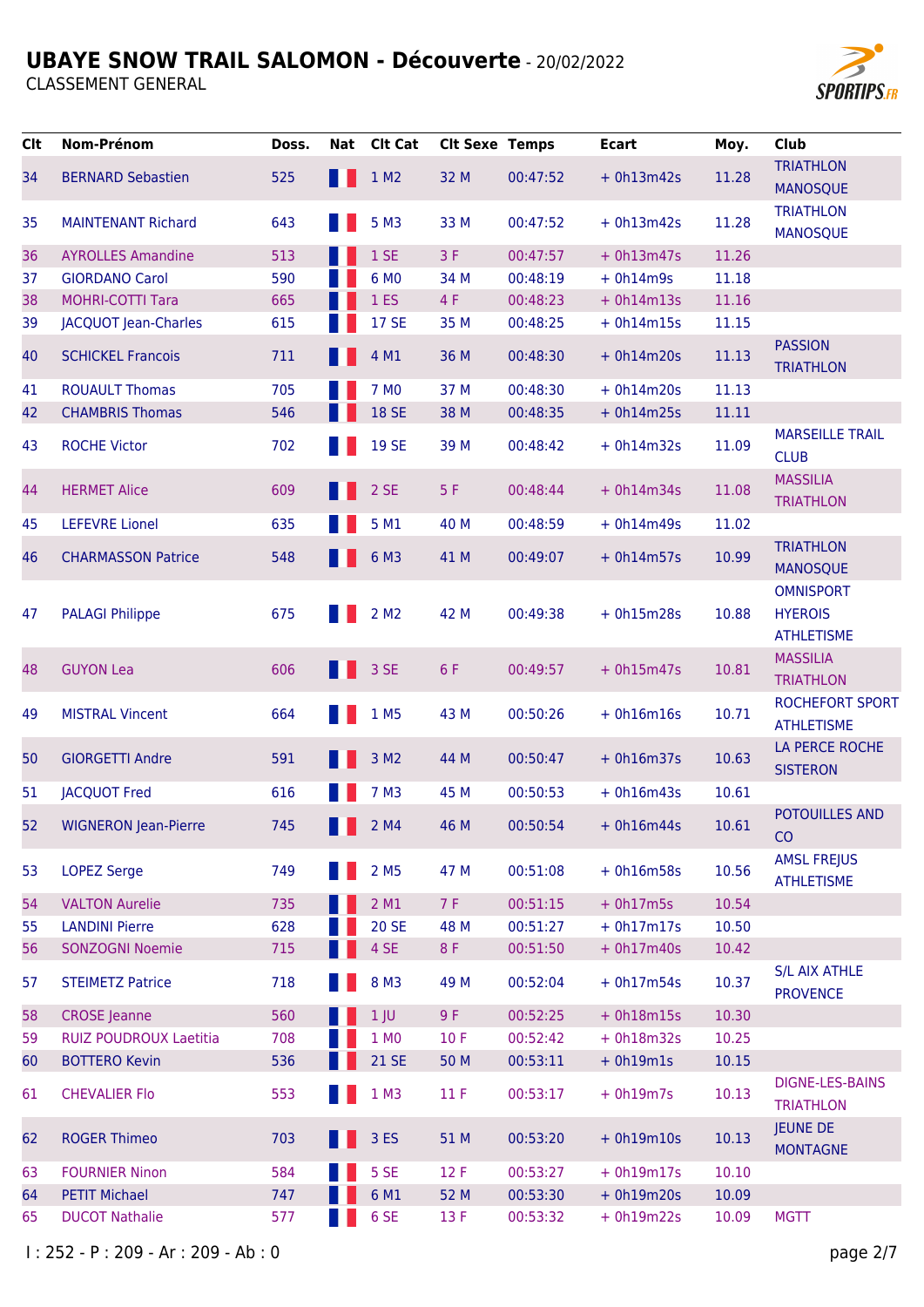

| <b>Clt</b> | Nom-Prénom                    | Doss. | Nat Clt Cat      | <b>Clt Sexe Temps</b> |          | <b>Ecart</b> | Moy.  | <b>Club</b>                          |
|------------|-------------------------------|-------|------------------|-----------------------|----------|--------------|-------|--------------------------------------|
| 34         | <b>BERNARD Sebastien</b>      | 525   | 1 M2             | 32 M                  | 00:47:52 | $+ 0h13m42s$ | 11.28 | <b>TRIATHLON</b>                     |
|            |                               |       |                  |                       |          |              |       | <b>MANOSQUE</b>                      |
| 35         | <b>MAINTENANT Richard</b>     | 643   | 5 M3             | 33 M                  | 00:47:52 | $+ 0h13m42s$ | 11.28 | <b>TRIATHLON</b><br><b>MANOSQUE</b>  |
| 36         | <b>AYROLLES Amandine</b>      | 513   | 1SE              | 3F                    | 00:47:57 | $+ 0h13m47s$ | 11.26 |                                      |
| 37         | <b>GIORDANO Carol</b>         | 590   | 6 MO             | 34 M                  | 00:48:19 | $+ 0h14m9s$  | 11.18 |                                      |
| 38         | <b>MOHRI-COTTI Tara</b>       | 665   | 1 <sub>ES</sub>  | 4 F                   | 00:48:23 | $+ 0h14m13s$ | 11.16 |                                      |
| 39         | JACQUOT Jean-Charles          | 615   | <b>17 SE</b>     | 35 M                  | 00:48:25 | $+ 0h14m15s$ | 11.15 |                                      |
|            |                               |       |                  |                       |          |              |       | <b>PASSION</b>                       |
| 40         | <b>SCHICKEL Francois</b>      | 711   | 4 M1             | 36 M                  | 00:48:30 | $+ 0h14m20s$ | 11.13 | <b>TRIATHLON</b>                     |
| 41         | <b>ROUAULT Thomas</b>         | 705   | 7 M <sub>0</sub> | 37 M                  | 00:48:30 | $+ 0h14m20s$ | 11.13 |                                      |
| 42         | <b>CHAMBRIS Thomas</b>        | 546   | <b>18 SE</b>     | 38 M                  | 00:48:35 | $+ 0h14m25s$ | 11.11 |                                      |
| 43         | <b>ROCHE Victor</b>           | 702   | <b>19 SE</b>     | 39 M                  | 00:48:42 | $+ 0h14m32s$ | 11.09 | <b>MARSEILLE TRAIL</b>               |
|            |                               |       |                  |                       |          |              |       | <b>CLUB</b>                          |
| 44         | <b>HERMET Alice</b>           | 609   | 2 SE             | 5F                    | 00:48:44 | $+ 0h14m34s$ | 11.08 | <b>MASSILIA</b>                      |
|            |                               |       |                  |                       |          |              |       | <b>TRIATHLON</b>                     |
| 45         | <b>LEFEVRE Lionel</b>         | 635   | 5 M1             | 40 M                  | 00:48:59 | $+ 0h14m49s$ | 11.02 |                                      |
| 46         | <b>CHARMASSON Patrice</b>     | 548   | 6 M3             | 41 M                  | 00:49:07 | $+ 0h14m57s$ | 10.99 | <b>TRIATHLON</b>                     |
|            |                               |       |                  |                       |          |              |       | <b>MANOSQUE</b>                      |
|            |                               |       |                  |                       |          |              |       | <b>OMNISPORT</b>                     |
| 47         | <b>PALAGI Philippe</b>        | 675   | 2 M <sub>2</sub> | 42 M                  | 00:49:38 | $+ 0h15m28s$ | 10.88 | <b>HYEROIS</b>                       |
|            |                               |       |                  |                       |          |              |       | <b>ATHLETISME</b><br><b>MASSILIA</b> |
| 48         | <b>GUYON Lea</b>              | 606   | 3 SE             | 6 F                   | 00:49:57 | $+ 0h15m47s$ | 10.81 | <b>TRIATHLON</b>                     |
|            |                               |       |                  |                       |          |              |       | <b>ROCHEFORT SPORT</b>               |
| 49         | <b>MISTRAL Vincent</b>        | 664   | 1 M <sub>5</sub> | 43 M                  | 00:50:26 | $+ 0h16m16s$ | 10.71 | <b>ATHLETISME</b>                    |
|            |                               |       |                  |                       |          |              |       | LA PERCE ROCHE                       |
| 50         | <b>GIORGETTI Andre</b>        | 591   | 3 M <sub>2</sub> | 44 M                  | 00:50:47 | $+ 0h16m37s$ | 10.63 | <b>SISTERON</b>                      |
| 51         | <b>JACQUOT Fred</b>           | 616   | 7 M3             | 45 M                  | 00:50:53 | $+ 0h16m43s$ | 10.61 |                                      |
|            |                               |       |                  |                       |          |              |       | <b>POTOUILLES AND</b>                |
| 52         | <b>WIGNERON Jean-Pierre</b>   | 745   | 2 M4             | 46 M                  | 00:50:54 | $+ 0h16m44s$ | 10.61 | CO                                   |
| 53         | <b>LOPEZ Serge</b>            | 749   | 2 M <sub>5</sub> | 47 M                  | 00:51:08 | $+ 0h16m58s$ | 10.56 | <b>AMSL FREJUS</b>                   |
|            |                               |       |                  |                       |          |              |       | <b>ATHLETISME</b>                    |
| 54         | <b>VALTON Aurelie</b>         | 735   | 2 M1             | 7F                    | 00:51:15 | $+ 0h17m5s$  | 10.54 |                                      |
| 55         | <b>LANDINI Pierre</b>         | 628   | <b>20 SE</b>     | 48 M                  | 00:51:27 | $+ 0h17m17s$ | 10.50 |                                      |
| 56         | <b>SONZOGNI Noemie</b>        | 715   | 4 SE             | 8 F                   | 00:51:50 | $+ 0h17m40s$ | 10.42 |                                      |
| 57         | <b>STEIMETZ Patrice</b>       | 718   | 8 M3             | 49 M                  | 00:52:04 | $+ 0h17m54s$ | 10.37 | <b>S/L AIX ATHLE</b>                 |
|            |                               |       |                  |                       |          |              |       | <b>PROVENCE</b>                      |
| 58         | <b>CROSE</b> Jeanne           | 560   | 1 <sub>1</sub>   | 9 F                   | 00:52:25 | $+ 0h18m15s$ | 10.30 |                                      |
| 59         | <b>RUIZ POUDROUX Laetitia</b> | 708   | 1 MO             | 10F                   | 00:52:42 | $+ 0h18m32s$ | 10.25 |                                      |
| 60         | <b>BOTTERO Kevin</b>          | 536   | 21 SE            | 50 M                  | 00:53:11 | $+ 0h19m1s$  | 10.15 |                                      |
| 61         | <b>CHEVALIER Flo</b>          | 553   | 1 M3             | 11F                   | 00:53:17 | $+ 0h19m7s$  | 10.13 | <b>DIGNE-LES-BAINS</b>               |
|            |                               |       |                  |                       |          |              |       | <b>TRIATHLON</b>                     |
| 62         | <b>ROGER Thimeo</b>           | 703   | 3 ES             | 51 M                  | 00:53:20 | $+ 0h19m10s$ | 10.13 | <b>JEUNE DE</b><br><b>MONTAGNE</b>   |
| 63         | <b>FOURNIER Ninon</b>         | 584   | 5 SE             | 12F                   | 00:53:27 | $+ 0h19m17s$ | 10.10 |                                      |
| 64         | <b>PETIT Michael</b>          | 747   | 6 M1             | 52 M                  | 00:53:30 | $+ 0h19m20s$ | 10.09 |                                      |
| 65         | <b>DUCOT Nathalie</b>         | 577   | 6 SE             | 13 F                  | 00:53:32 | $+ 0h19m22s$ | 10.09 | <b>MGTT</b>                          |
|            |                               |       |                  |                       |          |              |       |                                      |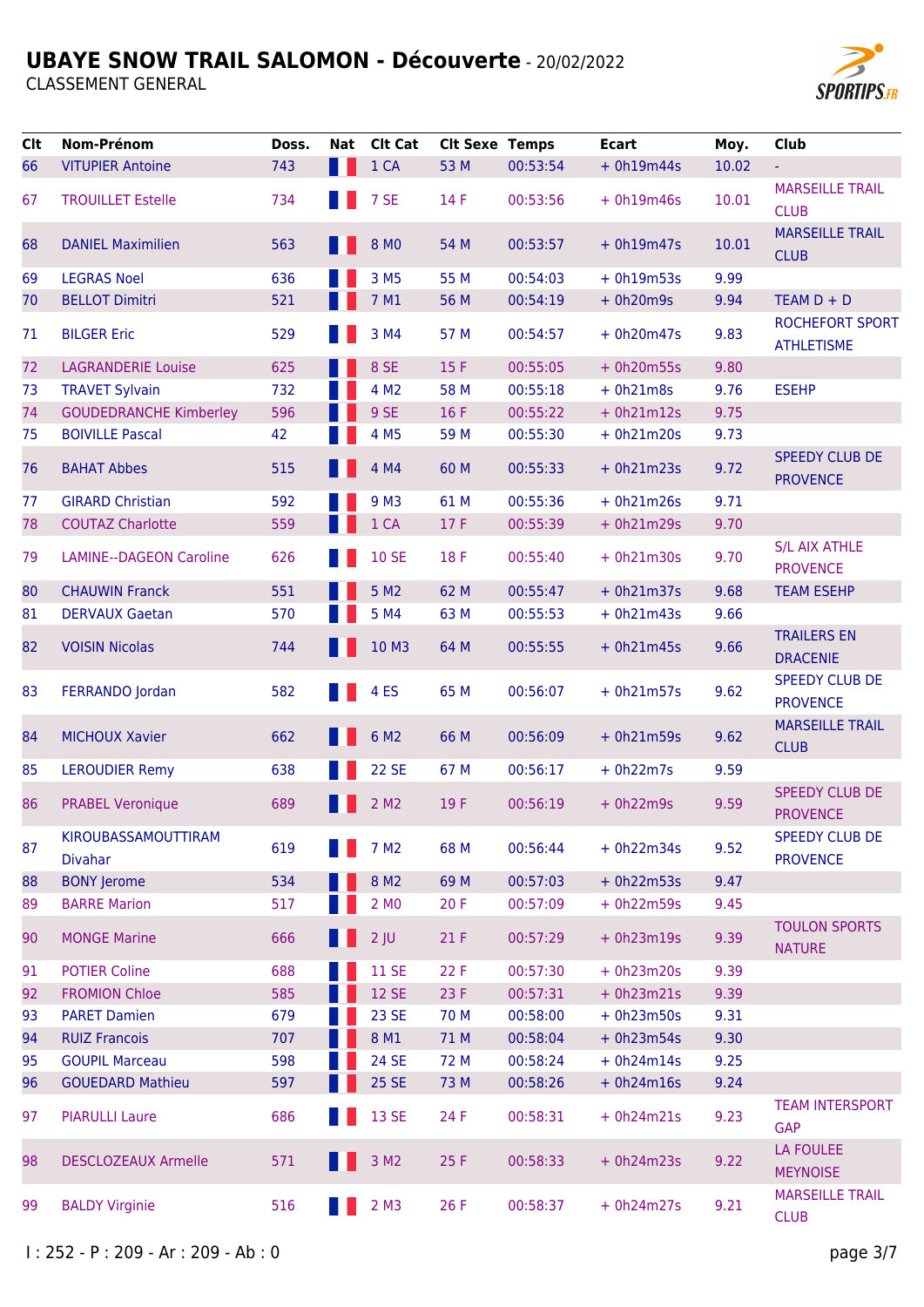

| <b>Clt</b> | Nom-Prénom                            | Doss. | Nat | <b>Clt Cat</b>     | <b>Clt Sexe Temps</b> |          | <b>Ecart</b> | Moy.  | <b>Club</b>                                 |
|------------|---------------------------------------|-------|-----|--------------------|-----------------------|----------|--------------|-------|---------------------------------------------|
| 66         | <b>VITUPIER Antoine</b>               | 743   |     | 1 CA               | 53 M                  | 00:53:54 | $+ 0h19m44s$ | 10.02 | ÷,                                          |
| 67         | <b>TROUILLET Estelle</b>              | 734   |     | 7 SE               | 14 F                  | 00:53:56 | $+ 0h19m46s$ | 10.01 | <b>MARSEILLE TRAIL</b><br><b>CLUB</b>       |
| 68         | <b>DANIEL Maximilien</b>              | 563   |     | 8 MO               | 54 M                  | 00:53:57 | $+ 0h19m47s$ | 10.01 | <b>MARSEILLE TRAIL</b><br><b>CLUB</b>       |
| 69         | <b>LEGRAS Noel</b>                    | 636   |     | 3 M <sub>5</sub>   | 55 M                  | 00:54:03 | $+ 0h19m53s$ | 9.99  |                                             |
| 70         | <b>BELLOT Dimitri</b>                 | 521   |     | 7 M1               | 56 M                  | 00:54:19 | $+ 0h20m9s$  | 9.94  | $TEAM D + D$                                |
| 71         | <b>BILGER Eric</b>                    | 529   |     | 3 M4               | 57 M                  | 00:54:57 | $+ 0h20m47s$ | 9.83  | <b>ROCHEFORT SPORT</b><br><b>ATHLETISME</b> |
| 72         | <b>LAGRANDERIE Louise</b>             | 625   |     | 8 SE               | 15F                   | 00:55:05 | $+ 0h20m55s$ | 9.80  |                                             |
| 73         | <b>TRAVET Sylvain</b>                 | 732   |     | 4 M <sub>2</sub>   | 58 M                  | 00:55:18 | $+ 0h21m8s$  | 9.76  | <b>ESEHP</b>                                |
| 74         | <b>GOUDEDRANCHE Kimberley</b>         | 596   |     | 9 SE               | 16F                   | 00:55:22 | $+ 0h21m12s$ | 9.75  |                                             |
| 75         | <b>BOIVILLE Pascal</b>                | 42    |     | 4 M <sub>5</sub>   | 59 M                  | 00:55:30 | $+ 0h21m20s$ | 9.73  |                                             |
| 76         | <b>BAHAT Abbes</b>                    | 515   |     | 4 M4               | 60 M                  | 00:55:33 | $+ 0h21m23s$ | 9.72  | <b>SPEEDY CLUB DE</b><br><b>PROVENCE</b>    |
| 77         | <b>GIRARD Christian</b>               | 592   |     | 9 M3               | 61 M                  | 00:55:36 | $+ 0h21m26s$ | 9.71  |                                             |
| 78         | <b>COUTAZ Charlotte</b>               | 559   |     | 1 CA               | 17F                   | 00:55:39 | $+ 0h21m29s$ | 9.70  |                                             |
| 79         | <b>LAMINE--DAGEON Caroline</b>        | 626   |     | <b>10 SE</b>       | 18 F                  | 00:55:40 | $+ 0h21m30s$ | 9.70  | <b>S/L AIX ATHLE</b><br><b>PROVENCE</b>     |
| 80         | <b>CHAUWIN Franck</b>                 | 551   |     | 5 M <sub>2</sub>   | 62 M                  | 00:55:47 | $+ 0h21m37s$ | 9.68  | <b>TEAM ESEHP</b>                           |
| 81         | <b>DERVAUX Gaetan</b>                 | 570   |     | 5 M4               | 63 M                  | 00:55:53 | $+ 0h21m43s$ | 9.66  |                                             |
| 82         | <b>VOISIN Nicolas</b>                 | 744   |     | 10 M3              | 64 M                  | 00:55:55 | $+ 0h21m45s$ | 9.66  | <b>TRAILERS EN</b><br><b>DRACENIE</b>       |
| 83         | FERRANDO Jordan                       | 582   |     | 4 <sub>ES</sub>    | 65 M                  | 00:56:07 | $+ 0h21m57s$ | 9.62  | <b>SPEEDY CLUB DE</b><br><b>PROVENCE</b>    |
| 84         | <b>MICHOUX Xavier</b>                 | 662   |     | 6 M <sub>2</sub>   | 66 M                  | 00:56:09 | $+ 0h21m59s$ | 9.62  | <b>MARSEILLE TRAIL</b><br><b>CLUB</b>       |
| 85         | <b>LEROUDIER Remy</b>                 | 638   |     | <b>22 SE</b>       | 67 M                  | 00:56:17 | $+ 0h22m7s$  | 9.59  |                                             |
| 86         | <b>PRABEL Veronique</b>               | 689   |     | 2 M <sub>2</sub>   | 19F                   | 00:56:19 | $+ 0h22m9s$  | 9.59  | <b>SPEEDY CLUB DE</b><br><b>PROVENCE</b>    |
| 87         | KIROUBASSAMOUTTIRAM<br><b>Divahar</b> | 619   |     | 7 M <sub>2</sub>   | 68 M                  | 00:56:44 | $+ 0h22m34s$ | 9.52  | <b>SPEEDY CLUB DE</b><br><b>PROVENCE</b>    |
| 88         | <b>BONY Jerome</b>                    | 534   |     | 8 M <sub>2</sub>   | 69 M                  | 00:57:03 | $+ 0h22m53s$ | 9.47  |                                             |
| 89         | <b>BARRE Marion</b>                   | 517   |     | 2 M <sub>0</sub>   | 20F                   | 00:57:09 | $+ 0h22m59s$ | 9.45  |                                             |
| 90         | <b>MONGE Marine</b>                   | 666   |     | $2$ JU             | 21F                   | 00:57:29 | $+ 0h23m19s$ | 9.39  | <b>TOULON SPORTS</b><br><b>NATURE</b>       |
| 91         | <b>POTIER Coline</b>                  | 688   |     | <b>11 SE</b>       | 22 F                  | 00:57:30 | $+ 0h23m20s$ | 9.39  |                                             |
| 92         | <b>FROMION Chloe</b>                  | 585   |     | <b>12 SE</b>       | 23 F                  | 00:57:31 | $+ 0h23m21s$ | 9.39  |                                             |
| 93         | <b>PARET Damien</b>                   | 679   |     | <b>23 SE</b>       | 70 M                  | 00:58:00 | $+ 0h23m50s$ | 9.31  |                                             |
| 94         | <b>RUIZ Francois</b>                  | 707   |     | 8 M1               | 71 M                  | 00:58:04 | $+ 0h23m54s$ | 9.30  |                                             |
| 95         | <b>GOUPIL Marceau</b>                 | 598   |     | <b>24 SE</b>       | 72 M                  | 00:58:24 | $+ 0h24m14s$ | 9.25  |                                             |
| 96         | <b>GOUEDARD Mathieu</b>               | 597   |     | <b>25 SE</b>       | 73 M                  | 00:58:26 | $+ 0h24m16s$ | 9.24  |                                             |
| 97         | <b>PIARULLI Laure</b>                 | 686   |     | 13 SE              | 24 F                  | 00:58:31 | $+ 0h24m21s$ | 9.23  | <b>TEAM INTERSPORT</b><br><b>GAP</b>        |
| 98         | <b>DESCLOZEAUX Armelle</b>            | 571   |     | 3 M <sub>2</sub>   | 25 F                  | 00:58:33 | $+ 0h24m23s$ | 9.22  | <b>LA FOULEE</b><br><b>MEYNOISE</b>         |
| 99         | <b>BALDY Virginie</b>                 | 516   |     | $2$ M <sub>3</sub> | 26 F                  | 00:58:37 | $+ 0h24m27s$ | 9.21  | <b>MARSEILLE TRAIL</b><br><b>CLUB</b>       |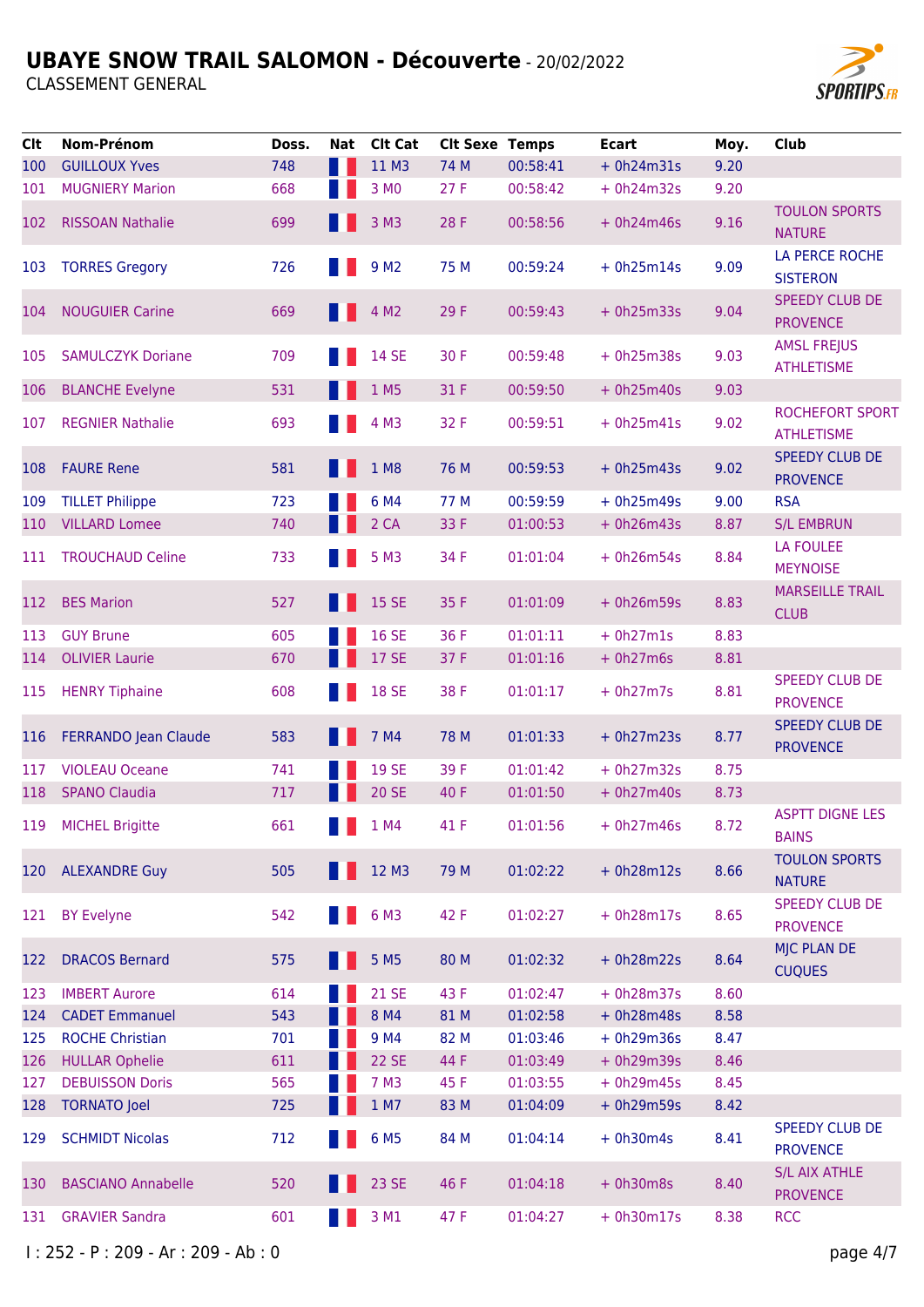**CLASSEMENT GENERAL** 



| Clt | Nom-Prénom                  | Doss. | Nat  | <b>Clt Cat</b>                                                                                                                                                                                                                                                                                                                                                                                                                                                                             | <b>Clt Sexe Temps</b> |          | <b>Ecart</b> | Moy. | <b>Club</b>                              |
|-----|-----------------------------|-------|------|--------------------------------------------------------------------------------------------------------------------------------------------------------------------------------------------------------------------------------------------------------------------------------------------------------------------------------------------------------------------------------------------------------------------------------------------------------------------------------------------|-----------------------|----------|--------------|------|------------------------------------------|
| 100 | <b>GUILLOUX Yves</b>        | 748   | a se | 11 M3                                                                                                                                                                                                                                                                                                                                                                                                                                                                                      | 74 M                  | 00:58:41 | $+ 0h24m31s$ | 9.20 |                                          |
| 101 | <b>MUGNIERY Marion</b>      | 668   |      | 3 MO                                                                                                                                                                                                                                                                                                                                                                                                                                                                                       | 27F                   | 00:58:42 | $+ 0h24m32s$ | 9.20 |                                          |
| 102 | <b>RISSOAN Nathalie</b>     | 699   |      | 3 M3                                                                                                                                                                                                                                                                                                                                                                                                                                                                                       | 28 F                  | 00:58:56 | $+ 0h24m46s$ | 9.16 | <b>TOULON SPORTS</b><br><b>NATURE</b>    |
| 103 | <b>TORRES Gregory</b>       | 726   |      | 9 M <sub>2</sub>                                                                                                                                                                                                                                                                                                                                                                                                                                                                           | 75 M                  | 00:59:24 | $+ 0h25m14s$ | 9.09 | LA PERCE ROCHE<br><b>SISTERON</b>        |
| 104 | <b>NOUGUIER Carine</b>      | 669   |      | 4 M <sub>2</sub>                                                                                                                                                                                                                                                                                                                                                                                                                                                                           | 29 F                  | 00:59:43 | $+ 0h25m33s$ | 9.04 | <b>SPEEDY CLUB DE</b><br><b>PROVENCE</b> |
| 105 | <b>SAMULCZYK Doriane</b>    | 709   |      | <b>14 SE</b>                                                                                                                                                                                                                                                                                                                                                                                                                                                                               | 30 F                  | 00:59:48 | $+ 0h25m38s$ | 9.03 | <b>AMSL FREJUS</b><br><b>ATHLETISME</b>  |
| 106 | <b>BLANCHE Evelyne</b>      | 531   |      | 1 M5                                                                                                                                                                                                                                                                                                                                                                                                                                                                                       | 31 F                  | 00:59:50 | $+ 0h25m40s$ | 9.03 |                                          |
| 107 | <b>REGNIER Nathalie</b>     | 693   |      | 4 M3                                                                                                                                                                                                                                                                                                                                                                                                                                                                                       | 32 F                  | 00:59:51 | $+ 0h25m41s$ | 9.02 | ROCHEFORT SPORT<br><b>ATHLETISME</b>     |
| 108 | <b>FAURE Rene</b>           | 581   |      | 1 M8                                                                                                                                                                                                                                                                                                                                                                                                                                                                                       | 76 M                  | 00:59:53 | $+ 0h25m43s$ | 9.02 | <b>SPEEDY CLUB DE</b><br><b>PROVENCE</b> |
| 109 | <b>TILLET Philippe</b>      | 723   |      | 6 M4                                                                                                                                                                                                                                                                                                                                                                                                                                                                                       | 77 M                  | 00:59:59 | $+ 0h25m49s$ | 9.00 | <b>RSA</b>                               |
| 110 | <b>VILLARD Lomee</b>        | 740   |      | 2 CA                                                                                                                                                                                                                                                                                                                                                                                                                                                                                       | 33 F                  | 01:00:53 | $+ 0h26m43s$ | 8.87 | <b>S/L EMBRUN</b>                        |
| 111 | <b>TROUCHAUD Celine</b>     | 733   |      | 5 M3                                                                                                                                                                                                                                                                                                                                                                                                                                                                                       | 34 F                  | 01:01:04 | $+ 0h26m54s$ | 8.84 | <b>LA FOULEE</b><br><b>MEYNOISE</b>      |
| 112 | <b>BES Marion</b>           | 527   |      | <b>15 SE</b>                                                                                                                                                                                                                                                                                                                                                                                                                                                                               | 35 F                  | 01:01:09 | $+ 0h26m59s$ | 8.83 | <b>MARSEILLE TRAIL</b><br><b>CLUB</b>    |
| 113 | <b>GUY Brune</b>            | 605   |      | <b>16 SE</b>                                                                                                                                                                                                                                                                                                                                                                                                                                                                               | 36 F                  | 01:01:11 | $+ 0h27m1s$  | 8.83 |                                          |
| 114 | <b>OLIVIER Laurie</b>       | 670   |      | <b>17 SE</b>                                                                                                                                                                                                                                                                                                                                                                                                                                                                               | 37 F                  | 01:01:16 | $+ 0h27m6s$  | 8.81 |                                          |
| 115 | <b>HENRY Tiphaine</b>       | 608   |      | <b>18 SE</b>                                                                                                                                                                                                                                                                                                                                                                                                                                                                               | 38 F                  | 01:01:17 | $+ 0h27m7s$  | 8.81 | <b>SPEEDY CLUB DE</b><br><b>PROVENCE</b> |
| 116 | <b>FERRANDO Jean Claude</b> | 583   |      | 7 M4                                                                                                                                                                                                                                                                                                                                                                                                                                                                                       | 78 M                  | 01:01:33 | $+ 0h27m23s$ | 8.77 | <b>SPEEDY CLUB DE</b><br><b>PROVENCE</b> |
| 117 | <b>VIOLEAU Oceane</b>       | 741   |      | <b>19 SE</b>                                                                                                                                                                                                                                                                                                                                                                                                                                                                               | 39 F                  | 01:01:42 | $+ 0h27m32s$ | 8.75 |                                          |
| 118 | <b>SPANO Claudia</b>        | 717   |      | <b>20 SE</b>                                                                                                                                                                                                                                                                                                                                                                                                                                                                               | 40 F                  | 01:01:50 | $+ 0h27m40s$ | 8.73 |                                          |
|     | 119 MICHEL Brigitte         | 661   |      | $\blacksquare$ $\blacksquare$ $\blacksquare$ $\blacksquare$ $\blacksquare$ $\blacksquare$ $\blacksquare$ $\blacksquare$ $\blacksquare$ $\blacksquare$ $\blacksquare$ $\blacksquare$ $\blacksquare$ $\blacksquare$ $\blacksquare$ $\blacksquare$ $\blacksquare$ $\blacksquare$ $\blacksquare$ $\blacksquare$ $\blacksquare$ $\blacksquare$ $\blacksquare$ $\blacksquare$ $\blacksquare$ $\blacksquare$ $\blacksquare$ $\blacksquare$ $\blacksquare$ $\blacksquare$ $\blacksquare$ $\blacks$ | 41 F                  | 01:01:56 | $+ 0h27m46s$ | 8.72 | <b>ASPTT DIGNE LES</b><br><b>BAINS</b>   |
| 120 | <b>ALEXANDRE Guy</b>        | 505   |      | 12 M3                                                                                                                                                                                                                                                                                                                                                                                                                                                                                      | 79 M                  | 01:02:22 | $+ 0h28m12s$ | 8.66 | <b>TOULON SPORTS</b><br><b>NATURE</b>    |
| 121 | <b>BY Evelyne</b>           | 542   |      | 6 M3                                                                                                                                                                                                                                                                                                                                                                                                                                                                                       | 42 F                  | 01:02:27 | $+ 0h28m17s$ | 8.65 | SPEEDY CLUB DE<br><b>PROVENCE</b>        |
| 122 | <b>DRACOS Bernard</b>       | 575   |      | 5 M <sub>5</sub>                                                                                                                                                                                                                                                                                                                                                                                                                                                                           | 80 M                  | 01:02:32 | $+ 0h28m22s$ | 8.64 | <b>MJC PLAN DE</b><br><b>CUQUES</b>      |
| 123 | <b>IMBERT Aurore</b>        | 614   |      | <b>21 SE</b>                                                                                                                                                                                                                                                                                                                                                                                                                                                                               | 43 F                  | 01:02:47 | $+ 0h28m37s$ | 8.60 |                                          |
| 124 | <b>CADET Emmanuel</b>       | 543   |      | 8 M4                                                                                                                                                                                                                                                                                                                                                                                                                                                                                       | 81 M                  | 01:02:58 | $+ 0h28m48s$ | 8.58 |                                          |
| 125 | <b>ROCHE Christian</b>      | 701   |      | 9 M4                                                                                                                                                                                                                                                                                                                                                                                                                                                                                       | 82 M                  | 01:03:46 | $+ 0h29m36s$ | 8.47 |                                          |
| 126 | <b>HULLAR Ophelie</b>       | 611   |      | <b>22 SE</b>                                                                                                                                                                                                                                                                                                                                                                                                                                                                               | 44 F                  | 01:03:49 | $+ 0h29m39s$ | 8.46 |                                          |
| 127 | <b>DEBUISSON Doris</b>      | 565   |      | 7 M3                                                                                                                                                                                                                                                                                                                                                                                                                                                                                       | 45 F                  | 01:03:55 | $+ 0h29m45s$ | 8.45 |                                          |
| 128 | <b>TORNATO Joel</b>         | 725   |      | 1 M7                                                                                                                                                                                                                                                                                                                                                                                                                                                                                       | 83 M                  | 01:04:09 | $+ 0h29m59s$ | 8.42 |                                          |
| 129 | <b>SCHMIDT Nicolas</b>      | 712   |      | 6 M <sub>5</sub>                                                                                                                                                                                                                                                                                                                                                                                                                                                                           | 84 M                  | 01:04:14 | $+ 0h30m4s$  | 8.41 | <b>SPEEDY CLUB DE</b><br><b>PROVENCE</b> |
| 130 | <b>BASCIANO Annabelle</b>   | 520   |      | 23 SE                                                                                                                                                                                                                                                                                                                                                                                                                                                                                      | 46 F                  | 01:04:18 | $+ 0h30m8s$  | 8.40 | <b>S/L AIX ATHLE</b><br><b>PROVENCE</b>  |
| 131 | <b>GRAVIER Sandra</b>       | 601   |      | 3 M1                                                                                                                                                                                                                                                                                                                                                                                                                                                                                       | 47 F                  | 01:04:27 | $+ 0h30m17s$ | 8.38 | <b>RCC</b>                               |

I: 252 - P: 209 - Ar: 209 - Ab: 0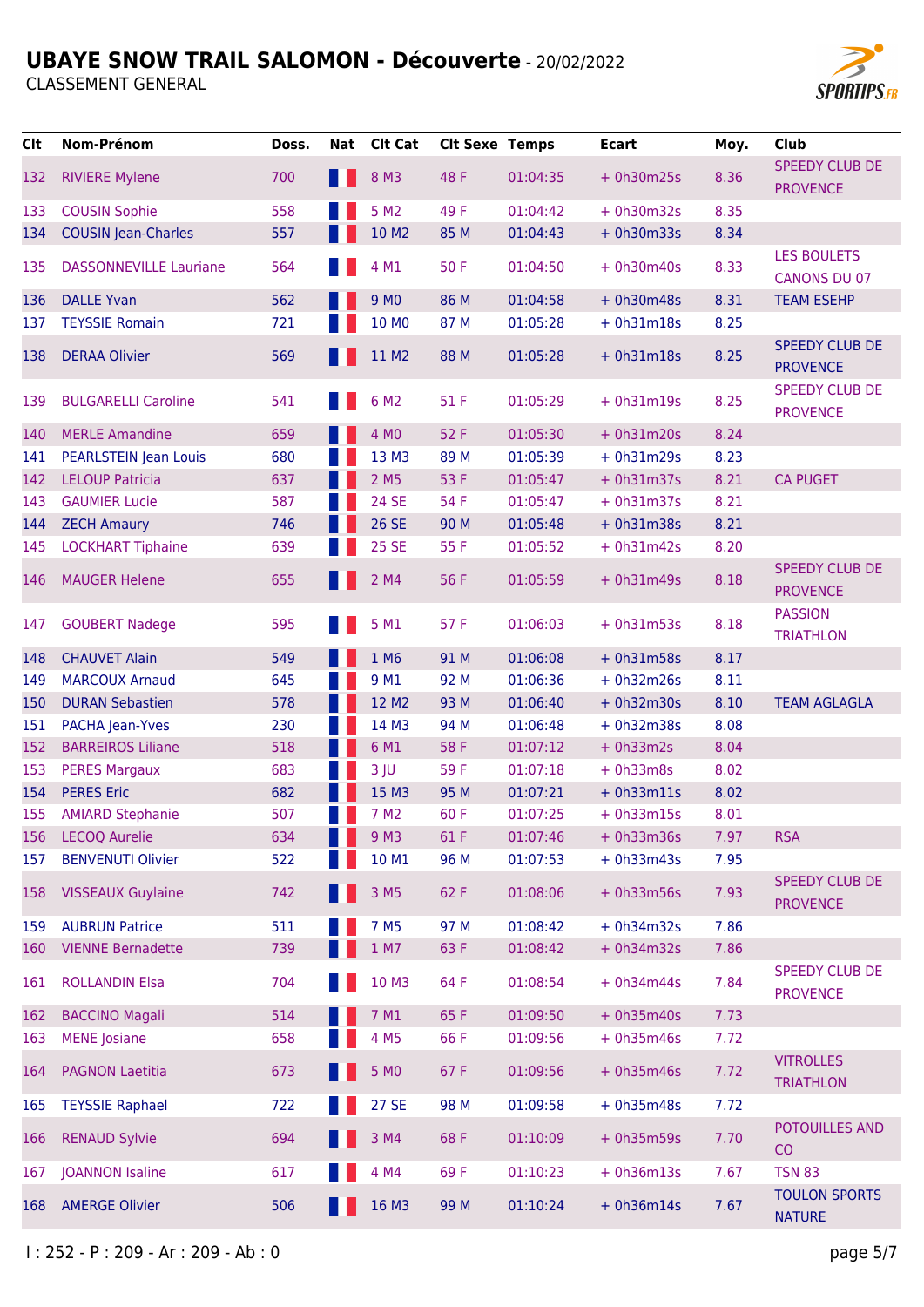

| <b>Clt</b> | Nom-Prénom                    | Doss. | Nat | <b>Clt Cat</b>   | <b>Clt Sexe Temps</b> |          | <b>Ecart</b> | Moy. | <b>Club</b>                               |
|------------|-------------------------------|-------|-----|------------------|-----------------------|----------|--------------|------|-------------------------------------------|
| 132        | <b>RIVIERE Mylene</b>         | 700   |     | 8 M3             | 48 F                  | 01:04:35 | $+ 0h30m25s$ | 8.36 | <b>SPEEDY CLUB DE</b><br><b>PROVENCE</b>  |
| 133        | <b>COUSIN Sophie</b>          | 558   |     | 5 M <sub>2</sub> | 49 F                  | 01:04:42 | $+ 0h30m32s$ | 8.35 |                                           |
| 134        | <b>COUSIN Jean-Charles</b>    | 557   |     | 10 M2            | 85 M                  | 01:04:43 | $+ 0h30m33s$ | 8.34 |                                           |
| 135        | <b>DASSONNEVILLE Lauriane</b> | 564   |     | 4 M1             | 50F                   | 01:04:50 | $+ 0h30m40s$ | 8.33 | <b>LES BOULETS</b><br><b>CANONS DU 07</b> |
| 136        | <b>DALLE Yvan</b>             | 562   |     | 9 M <sub>0</sub> | 86 M                  | 01:04:58 | $+ 0h30m48s$ | 8.31 | <b>TEAM ESEHP</b>                         |
| 137        | <b>TEYSSIE Romain</b>         | 721   |     | 10 MO            | 87 M                  | 01:05:28 | $+ 0h31m18s$ | 8.25 |                                           |
| 138        | <b>DERAA Olivier</b>          | 569   |     | 11 M2            | 88 M                  | 01:05:28 | $+ 0h31m18s$ | 8.25 | <b>SPEEDY CLUB DE</b><br><b>PROVENCE</b>  |
| 139        | <b>BULGARELLI Caroline</b>    | 541   |     | 6 M <sub>2</sub> | 51 F                  | 01:05:29 | $+ 0h31m19s$ | 8.25 | <b>SPEEDY CLUB DE</b><br><b>PROVENCE</b>  |
| 140        | <b>MERLE Amandine</b>         | 659   |     | 4 MO             | 52 F                  | 01:05:30 | $+ 0h31m20s$ | 8.24 |                                           |
| 141        | <b>PEARLSTEIN Jean Louis</b>  | 680   |     | 13 M3            | 89 M                  | 01:05:39 | $+ 0h31m29s$ | 8.23 |                                           |
| 142        | <b>LELOUP Patricia</b>        | 637   |     | 2 M <sub>5</sub> | 53 F                  | 01:05:47 | $+ 0h31m37s$ | 8.21 | <b>CA PUGET</b>                           |
| 143        | <b>GAUMIER Lucie</b>          | 587   |     | <b>24 SE</b>     | 54 F                  | 01:05:47 | $+ 0h31m37s$ | 8.21 |                                           |
| 144        | <b>ZECH Amaury</b>            | 746   |     | <b>26 SE</b>     | 90 M                  | 01:05:48 | $+ 0h31m38s$ | 8.21 |                                           |
| 145        | <b>LOCKHART Tiphaine</b>      | 639   |     | <b>25 SE</b>     | 55 F                  | 01:05:52 | $+ 0h31m42s$ | 8.20 |                                           |
| 146        | <b>MAUGER Helene</b>          | 655   |     | 2 M4             | 56 F                  | 01:05:59 | $+ 0h31m49s$ | 8.18 | <b>SPEEDY CLUB DE</b><br><b>PROVENCE</b>  |
| 147        | <b>GOUBERT Nadege</b>         | 595   |     | 5 M1             | 57 F                  | 01:06:03 | $+ 0h31m53s$ | 8.18 | <b>PASSION</b><br><b>TRIATHLON</b>        |
| 148        | <b>CHAUVET Alain</b>          | 549   |     | 1 M6             | 91 M                  | 01:06:08 | $+ 0h31m58s$ | 8.17 |                                           |
| 149        | <b>MARCOUX Arnaud</b>         | 645   |     | 9 M1             | 92 M                  | 01:06:36 | $+ 0h32m26s$ | 8.11 |                                           |
| 150        | <b>DURAN Sebastien</b>        | 578   |     | 12 M2            | 93 M                  | 01:06:40 | $+ 0h32m30s$ | 8.10 | <b>TEAM AGLAGLA</b>                       |
| 151        | PACHA Jean-Yves               | 230   |     | 14 M3            | 94 M                  | 01:06:48 | $+ 0h32m38s$ | 8.08 |                                           |
| 152        | <b>BARREIROS Liliane</b>      | 518   |     | 6 M1             | 58 F                  | 01:07:12 | $+ 0h33m2s$  | 8.04 |                                           |
| 153        | <b>PERES Margaux</b>          | 683   |     | $3$ JU           | 59F                   | 01:07:18 | $+ 0h33m8s$  | 8.02 |                                           |
| 154        | <b>PERES Eric</b>             | 682   |     | 15 M3            | 95 M                  | 01:07:21 | $+ 0h33m11s$ | 8.02 |                                           |
| 155        | <b>AMIARD Stephanie</b>       | 507   |     | 7 M <sub>2</sub> | 60 F                  | 01:07:25 | $+ 0h33m15s$ | 8.01 |                                           |
| 156        | <b>LECOQ Aurelie</b>          | 634   |     | 9 M3             | 61 F                  | 01:07:46 | $+ 0h33m36s$ | 7.97 | <b>RSA</b>                                |
| 157        | <b>BENVENUTI Olivier</b>      | 522   |     | 10 M1            | 96 M                  | 01:07:53 | $+ 0h33m43s$ | 7.95 |                                           |
| 158        | <b>VISSEAUX Guylaine</b>      | 742   |     | 3 M <sub>5</sub> | 62 F                  | 01:08:06 | $+ 0h33m56s$ | 7.93 | SPEEDY CLUB DE<br><b>PROVENCE</b>         |
| 159        | <b>AUBRUN Patrice</b>         | 511   |     | 7 M <sub>5</sub> | 97 M                  | 01:08:42 | $+ 0h34m32s$ | 7.86 |                                           |
| 160        | <b>VIENNE Bernadette</b>      | 739   |     | 1 M7             | 63 F                  | 01:08:42 | $+ 0h34m32s$ | 7.86 |                                           |
| 161        | <b>ROLLANDIN Elsa</b>         | 704   |     | 10 M3            | 64 F                  | 01:08:54 | $+ 0h34m44s$ | 7.84 | <b>SPEEDY CLUB DE</b><br><b>PROVENCE</b>  |
| 162        | <b>BACCINO Magali</b>         | 514   |     | 7 M1             | 65F                   | 01:09:50 | $+ 0h35m40s$ | 7.73 |                                           |
| 163        | <b>MENE</b> Josiane           | 658   |     | 4 M <sub>5</sub> | 66 F                  | 01:09:56 | $+ 0h35m46s$ | 7.72 |                                           |
| 164        | <b>PAGNON Laetitia</b>        | 673   |     | 5 MO             | 67 F                  | 01:09:56 | $+ 0h35m46s$ | 7.72 | <b>VITROLLES</b><br><b>TRIATHLON</b>      |
| 165        | <b>TEYSSIE Raphael</b>        | 722   |     | <b>27 SE</b>     | 98 M                  | 01:09:58 | $+ 0h35m48s$ | 7.72 |                                           |
| 166        | <b>RENAUD Sylvie</b>          | 694   |     | 3 M4             | 68 F                  | 01:10:09 | $+ 0h35m59s$ | 7.70 | POTOUILLES AND<br>CO                      |
| 167        | <b>JOANNON Isaline</b>        | 617   |     | 4 M4             | 69F                   | 01:10:23 | $+ 0h36m13s$ | 7.67 | <b>TSN 83</b>                             |
| 168        | <b>AMERGE Olivier</b>         | 506   |     | 16 M3            | 99 M                  | 01:10:24 | $+ 0h36m14s$ | 7.67 | <b>TOULON SPORTS</b><br><b>NATURE</b>     |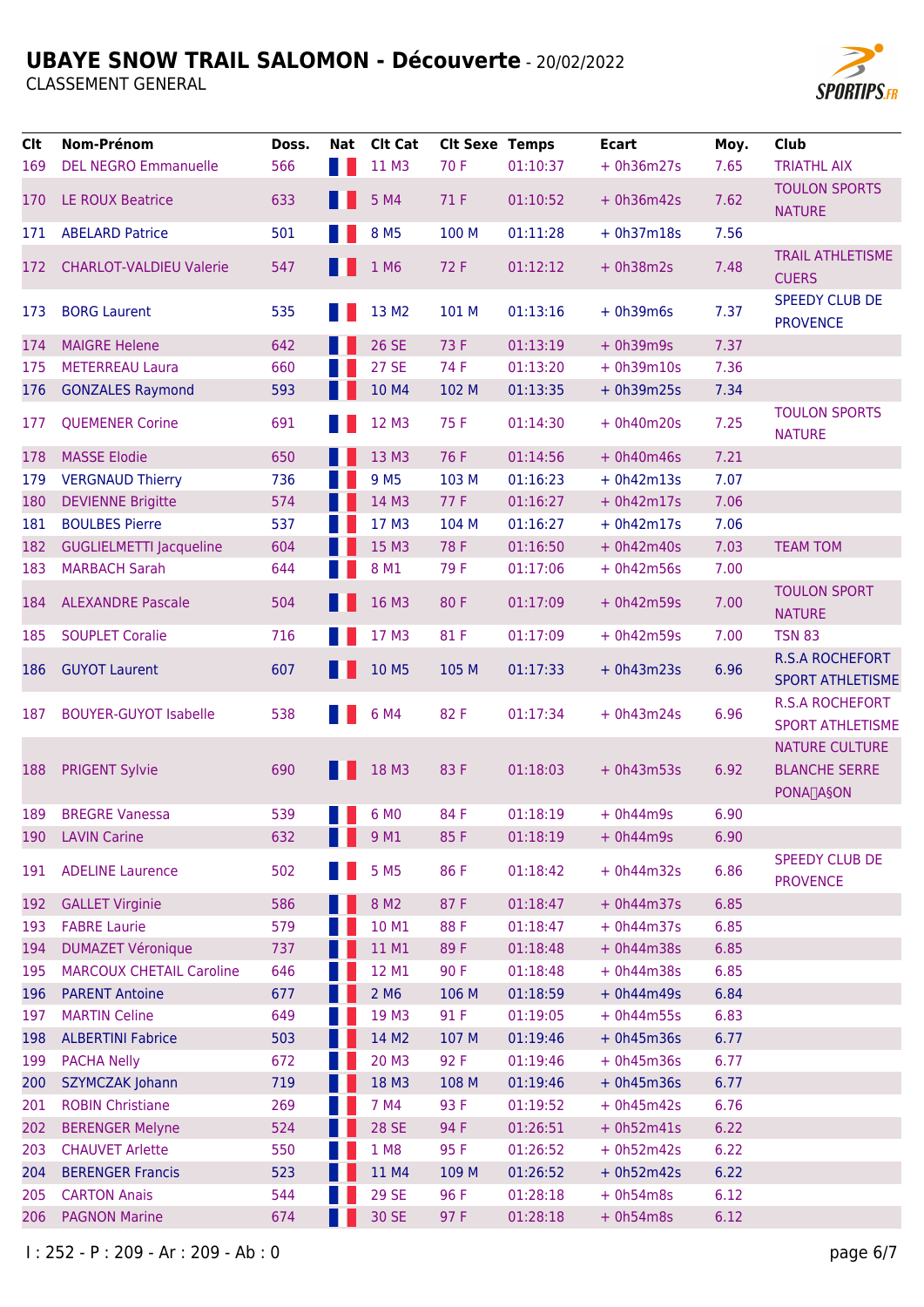

| <b>Clt</b> | Nom-Prénom                      | Doss. | Nat | <b>Clt Cat</b>    | <b>Clt Sexe Temps</b> |          | <b>Ecart</b> | Moy. | <b>Club</b>                                                                  |
|------------|---------------------------------|-------|-----|-------------------|-----------------------|----------|--------------|------|------------------------------------------------------------------------------|
| 169        | <b>DEL NEGRO Emmanuelle</b>     | 566   |     | 11 M3             | 70 F                  | 01:10:37 | $+ 0h36m27s$ | 7.65 | <b>TRIATHL AIX</b>                                                           |
| 170        | <b>LE ROUX Beatrice</b>         | 633   |     | 5 M4              | 71 F                  | 01:10:52 | $+ 0h36m42s$ | 7.62 | <b>TOULON SPORTS</b><br><b>NATURE</b>                                        |
| 171        | <b>ABELARD Patrice</b>          | 501   |     | 8 M <sub>5</sub>  | 100 M                 | 01:11:28 | $+ 0h37m18s$ | 7.56 |                                                                              |
| 172        | <b>CHARLOT-VALDIEU Valerie</b>  | 547   |     | 1 M6              | 72 F                  | 01:12:12 | $+ 0h38m2s$  | 7.48 | <b>TRAIL ATHLETISME</b><br><b>CUERS</b>                                      |
| 173        | <b>BORG Laurent</b>             | 535   |     | 13 M <sub>2</sub> | 101 M                 | 01:13:16 | $+ 0h39m6s$  | 7.37 | <b>SPEEDY CLUB DE</b><br><b>PROVENCE</b>                                     |
| 174        | <b>MAIGRE Helene</b>            | 642   |     | <b>26 SE</b>      | 73 F                  | 01:13:19 | $+ 0h39m9s$  | 7.37 |                                                                              |
| 175        | <b>METERREAU Laura</b>          | 660   |     | <b>27 SE</b>      | 74 F                  | 01:13:20 | $+ 0h39m10s$ | 7.36 |                                                                              |
| 176        | <b>GONZALES Raymond</b>         | 593   |     | 10 M4             | 102 M                 | 01:13:35 | $+ 0h39m25s$ | 7.34 |                                                                              |
| 177        | <b>QUEMENER Corine</b>          | 691   |     | 12 M3             | 75 F                  | 01:14:30 | $+ 0h40m20s$ | 7.25 | <b>TOULON SPORTS</b><br><b>NATURE</b>                                        |
| 178        | <b>MASSE Elodie</b>             | 650   |     | 13 M3             | 76 F                  | 01:14:56 | $+ 0h40m46s$ | 7.21 |                                                                              |
| 179        | <b>VERGNAUD Thierry</b>         | 736   |     | 9 M <sub>5</sub>  | 103 M                 | 01:16:23 | $+ 0h42m13s$ | 7.07 |                                                                              |
| 180        | <b>DEVIENNE Brigitte</b>        | 574   |     | 14 M3             | 77 F                  | 01:16:27 | $+ 0h42m17s$ | 7.06 |                                                                              |
| 181        | <b>BOULBES Pierre</b>           | 537   |     | 17 M3             | 104 M                 | 01:16:27 | $+ 0h42m17s$ | 7.06 |                                                                              |
| 182        | <b>GUGLIELMETTI Jacqueline</b>  | 604   |     | 15 M3             | 78 F                  | 01:16:50 | $+ 0h42m40s$ | 7.03 | <b>TEAM TOM</b>                                                              |
| 183        | <b>MARBACH Sarah</b>            | 644   |     | 8 M1              | 79F                   | 01:17:06 | $+ 0h42m56s$ | 7.00 |                                                                              |
| 184        | <b>ALEXANDRE Pascale</b>        | 504   |     | 16 M3             | 80F                   | 01:17:09 | $+ 0h42m59s$ | 7.00 | <b>TOULON SPORT</b><br><b>NATURE</b>                                         |
| 185        | <b>SOUPLET Coralie</b>          | 716   |     | 17 M3             | 81 F                  | 01:17:09 | $+ 0h42m59s$ | 7.00 | <b>TSN 83</b>                                                                |
| 186        | <b>GUYOT Laurent</b>            | 607   |     | 10 M5             | 105 M                 | 01:17:33 | $+ 0h43m23s$ | 6.96 | <b>R.S.A ROCHEFORT</b><br><b>SPORT ATHLETISME</b>                            |
| 187        | <b>BOUYER-GUYOT Isabelle</b>    | 538   |     | 6 M4              | 82F                   | 01:17:34 | $+ 0h43m24s$ | 6.96 | <b>R.S.A ROCHEFORT</b><br><b>SPORT ATHLETISME</b>                            |
| 188        | <b>PRIGENT Sylvie</b>           | 690   |     | 18 M3             | 83F                   | 01:18:03 | $+ 0h43m53s$ | 6.92 | <b>NATURE CULTURE</b><br><b>BLANCHE SERRE</b><br><b>PONA<sub>T</sub>A§ON</b> |
| 189        | <b>BREGRE Vanessa</b>           | 539   |     | 6 M <sub>0</sub>  | 84 F                  | 01:18:19 | $+ 0h44m9s$  | 6.90 |                                                                              |
| 190        | <b>LAVIN Carine</b>             | 632   |     | 9 M1              | 85F                   | 01:18:19 | $+ 0h44m9s$  | 6.90 |                                                                              |
| 191        | <b>ADELINE Laurence</b>         | 502   |     | 5 M <sub>5</sub>  | 86 F                  | 01:18:42 | $+ 0h44m32s$ | 6.86 | <b>SPEEDY CLUB DE</b><br><b>PROVENCE</b>                                     |
| 192        | <b>GALLET Virginie</b>          | 586   |     | 8 M <sub>2</sub>  | 87F                   | 01:18:47 | $+ 0h44m37s$ | 6.85 |                                                                              |
| 193        | <b>FABRE Laurie</b>             | 579   |     | 10 M1             | 88F                   | 01:18:47 | $+ 0h44m37s$ | 6.85 |                                                                              |
| 194        | <b>DUMAZET Véronique</b>        | 737   |     | 11 M1             | 89F                   | 01:18:48 | $+ 0h44m38s$ | 6.85 |                                                                              |
| 195        | <b>MARCOUX CHETAIL Caroline</b> | 646   |     | 12 M1             | 90F                   | 01:18:48 | $+ 0h44m38s$ | 6.85 |                                                                              |
| 196        | <b>PARENT Antoine</b>           | 677   |     | 2 M <sub>6</sub>  | 106 M                 | 01:18:59 | $+ 0h44m49s$ | 6.84 |                                                                              |
| 197        | <b>MARTIN Celine</b>            | 649   |     | 19 M3             | 91 F                  | 01:19:05 | $+ 0h44m55s$ | 6.83 |                                                                              |
| 198        | <b>ALBERTINI Fabrice</b>        | 503   |     | 14 M2             | 107 M                 | 01:19:46 | $+ 0h45m36s$ | 6.77 |                                                                              |
| 199        | <b>PACHA Nelly</b>              | 672   |     | 20 M3             | 92 F                  | 01:19:46 | $+ 0h45m36s$ | 6.77 |                                                                              |
| 200        | <b>SZYMCZAK Johann</b>          | 719   |     | 18 M3             | 108 M                 | 01:19:46 | $+ 0h45m36s$ | 6.77 |                                                                              |
| 201        | <b>ROBIN Christiane</b>         | 269   |     | 7 M4              | 93 F                  | 01:19:52 | $+ 0h45m42s$ | 6.76 |                                                                              |
| 202        | <b>BERENGER Melyne</b>          | 524   |     | <b>28 SE</b>      | 94 F                  | 01:26:51 | $+ 0h52m41s$ | 6.22 |                                                                              |
| 203        | <b>CHAUVET Arlette</b>          | 550   |     | 1 M8              | 95 F                  | 01:26:52 | $+ 0h52m42s$ | 6.22 |                                                                              |
| 204        | <b>BERENGER Francis</b>         | 523   |     | 11 M4             | 109 M                 | 01:26:52 | $+ 0h52m42s$ | 6.22 |                                                                              |
| 205        | <b>CARTON Anais</b>             | 544   |     | <b>29 SE</b>      | 96 F                  | 01:28:18 | $+ 0h54m8s$  | 6.12 |                                                                              |
| 206        | <b>PAGNON Marine</b>            | 674   |     | 30 SE             | 97 F                  | 01:28:18 | $+ 0h54m8s$  | 6.12 |                                                                              |